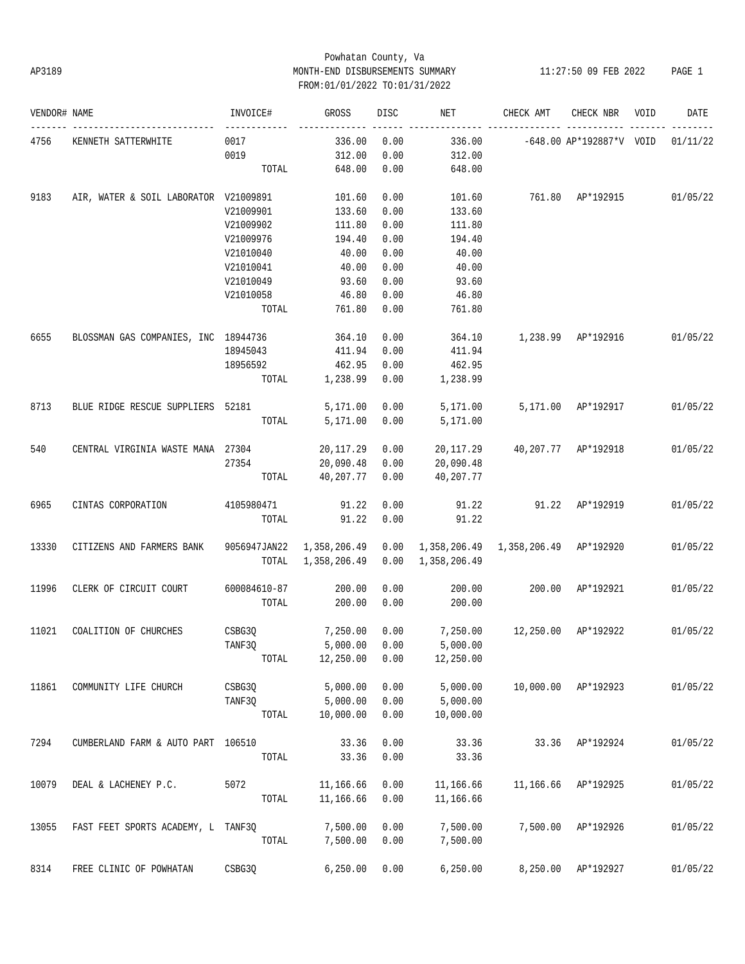# Powhatan County, Va AP3189 MONTH-END DISBURSEMENTS SUMMARY 11:27:50 09 FEB 2022 PAGE 1 FROM:01/01/2022 TO:01/31/2022

| VENDOR# NAME |                                       | INVOICE#     | GROSS        | DISC | NET          | CHECK AMT | CHECK NBR                  | VOID | DATE     |
|--------------|---------------------------------------|--------------|--------------|------|--------------|-----------|----------------------------|------|----------|
| 4756         | KENNETH SATTERWHITE                   | 0017         | 336.00       | 0.00 | 336.00       |           | $-648.00$ AP*192887*V VOID |      | 01/11/22 |
|              |                                       | 0019         | 312.00       | 0.00 | 312.00       |           |                            |      |          |
|              |                                       | TOTAL        | 648.00       | 0.00 | 648.00       |           |                            |      |          |
| 9183         | AIR, WATER & SOIL LABORATOR V21009891 |              | 101.60       | 0.00 | 101.60       |           | 761.80 AP*192915           |      | 01/05/22 |
|              |                                       | V21009901    | 133.60       | 0.00 | 133.60       |           |                            |      |          |
|              |                                       | V21009902    | 111.80       | 0.00 | 111.80       |           |                            |      |          |
|              |                                       | V21009976    | 194.40       | 0.00 | 194.40       |           |                            |      |          |
|              |                                       | V21010040    | 40.00        | 0.00 | 40.00        |           |                            |      |          |
|              |                                       | V21010041    | 40.00        | 0.00 | 40.00        |           |                            |      |          |
|              |                                       | V21010049    | 93.60        | 0.00 | 93.60        |           |                            |      |          |
|              |                                       | V21010058    | 46.80        | 0.00 | 46.80        |           |                            |      |          |
|              |                                       | TOTAL        | 761.80       | 0.00 | 761.80       |           |                            |      |          |
| 6655         | BLOSSMAN GAS COMPANIES, INC 18944736  |              | 364.10       | 0.00 | 364.10       |           | 1,238.99 AP*192916         |      | 01/05/22 |
|              |                                       | 18945043     | 411.94       | 0.00 | 411.94       |           |                            |      |          |
|              |                                       | 18956592     | 462.95       | 0.00 | 462.95       |           |                            |      |          |
|              |                                       | TOTAL        | 1,238.99     | 0.00 | 1,238.99     |           |                            |      |          |
| 8713         | BLUE RIDGE RESCUE SUPPLIERS 52181     |              | 5,171.00     | 0.00 | 5,171.00     |           | 5,171.00 AP*192917         |      | 01/05/22 |
|              |                                       | TOTAL        | 5,171.00     | 0.00 | 5,171.00     |           |                            |      |          |
| 540          | CENTRAL VIRGINIA WASTE MANA 27304     |              | 20, 117.29   | 0.00 | 20,117.29    |           | 40,207.77 AP*192918        |      | 01/05/22 |
|              |                                       | 27354        | 20,090.48    | 0.00 | 20,090.48    |           |                            |      |          |
|              |                                       | TOTAL        | 40,207.77    | 0.00 | 40,207.77    |           |                            |      |          |
| 6965         | CINTAS CORPORATION                    | 4105980471   | 91.22        | 0.00 | 91.22        |           | 91.22 AP*192919            |      | 01/05/22 |
|              |                                       | TOTAL        | 91.22        | 0.00 | 91.22        |           |                            |      |          |
| 13330        | CITIZENS AND FARMERS BANK             | 9056947JAN22 | 1,358,206.49 | 0.00 |              |           | AP*192920                  |      | 01/05/22 |
|              |                                       | TOTAL        | 1,358,206.49 | 0.00 | 1,358,206.49 |           |                            |      |          |
| 11996        | CLERK OF CIRCUIT COURT                | 600084610-87 | 200.00       | 0.00 | 200.00       | 200.00    | AP*192921                  |      | 01/05/22 |
|              |                                       | TOTAL        | 200.00       | 0.00 | 200.00       |           |                            |      |          |
| 11021        | COALITION OF CHURCHES                 | CSBG3Q       | 7,250.00     | 0.00 | 7,250.00     | 12,250.00 | AP*192922                  |      | 01/05/22 |
|              |                                       | TANF3Q       | 5,000.00     | 0.00 | 5,000.00     |           |                            |      |          |
|              |                                       | TOTAL        | 12,250.00    | 0.00 | 12,250.00    |           |                            |      |          |
| 11861        | COMMUNITY LIFE CHURCH                 | CSBG3Q       | 5,000.00     | 0.00 | 5,000.00     | 10,000.00 | AP*192923                  |      | 01/05/22 |
|              |                                       | TANF3Q       | 5,000.00     | 0.00 | 5,000.00     |           |                            |      |          |
|              |                                       | TOTAL        | 10,000.00    | 0.00 | 10,000.00    |           |                            |      |          |
| 7294         | CUMBERLAND FARM & AUTO PART           | 106510       | 33.36        | 0.00 | 33.36        | 33.36     | AP*192924                  |      | 01/05/22 |
|              |                                       | TOTAL        | 33.36        | 0.00 | 33.36        |           |                            |      |          |
| 10079        | DEAL & LACHENEY P.C.                  | 5072         | 11,166.66    | 0.00 | 11,166.66    | 11,166.66 | AP*192925                  |      | 01/05/22 |
|              |                                       | TOTAL        | 11,166.66    | 0.00 | 11,166.66    |           |                            |      |          |
| 13055        | FAST FEET SPORTS ACADEMY, L TANF3Q    |              | 7,500.00     | 0.00 | 7,500.00     | 7,500.00  | AP*192926                  |      | 01/05/22 |
|              |                                       | TOTAL        | 7,500.00     | 0.00 | 7,500.00     |           |                            |      |          |
| 8314         | FREE CLINIC OF POWHATAN               | CSBG3Q       | 6, 250.00    | 0.00 | 6, 250.00    |           | 8,250.00 AP*192927         |      | 01/05/22 |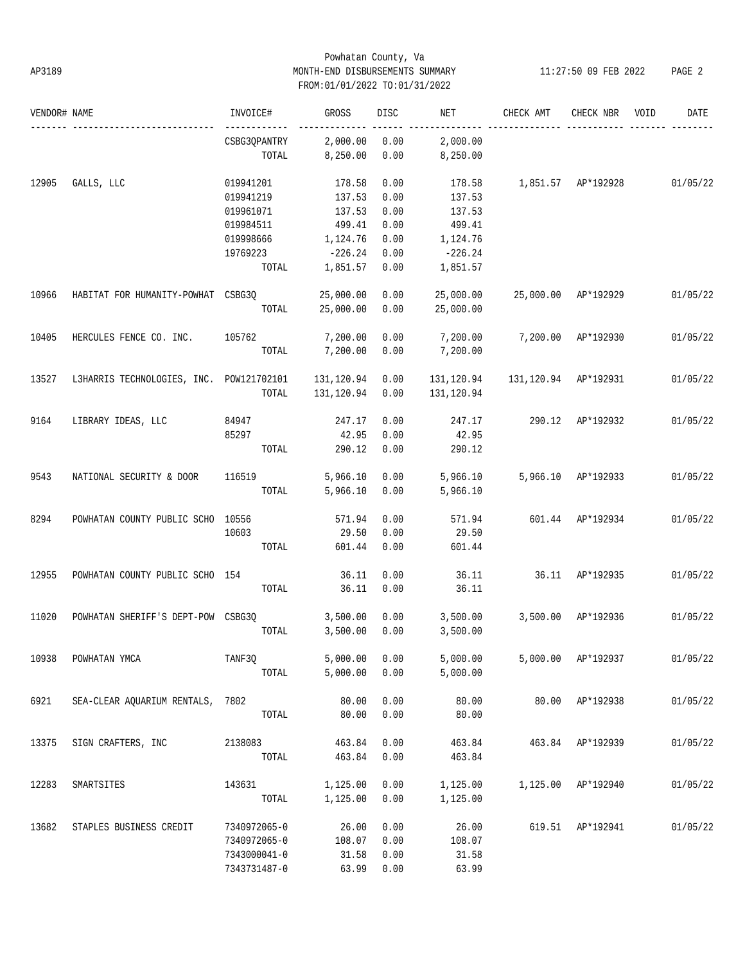# Powhatan County, Va AP3189 MONTH-END DISBURSEMENTS SUMMARY 11:27:50 09 FEB 2022 PAGE 2 FROM:01/01/2022 TO:01/31/2022

| VENDOR# NAME |                                          | INVOICE#     | GROSS      | <b>DISC</b> | NET        | CHECK AMT            | CHECK NBR          | VOID | DATE     |
|--------------|------------------------------------------|--------------|------------|-------------|------------|----------------------|--------------------|------|----------|
|              |                                          | CSBG3QPANTRY | 2,000.00   | 0.00        | 2,000.00   |                      |                    |      |          |
|              |                                          | TOTAL        | 8,250.00   | 0.00        | 8,250.00   |                      |                    |      |          |
| 12905        | GALLS, LLC                               | 019941201    | 178.58     | 0.00        | 178.58     | 1,851.57 AP*192928   |                    |      | 01/05/22 |
|              |                                          | 019941219    | 137.53     | 0.00        | 137.53     |                      |                    |      |          |
|              |                                          | 019961071    | 137.53     | 0.00        | 137.53     |                      |                    |      |          |
|              |                                          | 019984511    | 499.41     | 0.00        | 499.41     |                      |                    |      |          |
|              |                                          | 019998666    | 1,124.76   | 0.00        | 1,124.76   |                      |                    |      |          |
|              |                                          |              |            |             |            |                      |                    |      |          |
|              |                                          | 19769223     | $-226.24$  | 0.00        | $-226.24$  |                      |                    |      |          |
|              |                                          | TOTAL        | 1,851.57   | 0.00        | 1,851.57   |                      |                    |      |          |
| 10966        | HABITAT FOR HUMANITY-POWHAT CSBG3Q       |              | 25,000.00  | 0.00        | 25,000.00  | 25,000.00 AP*192929  |                    |      | 01/05/22 |
|              |                                          | TOTAL        | 25,000.00  | 0.00        | 25,000.00  |                      |                    |      |          |
| 10405        | HERCULES FENCE CO. INC.                  | 105762       | 7,200.00   | 0.00        | 7,200.00   | 7,200.00 AP*192930   |                    |      | 01/05/22 |
|              |                                          | TOTAL        | 7,200.00   | 0.00        | 7,200.00   |                      |                    |      |          |
| 13527        | L3HARRIS TECHNOLOGIES, INC. POW121702101 |              | 131,120.94 | 0.00        | 131,120.94 | 131,120.94 AP*192931 |                    |      | 01/05/22 |
|              |                                          | TOTAL        | 131,120.94 | 0.00        | 131,120.94 |                      |                    |      |          |
|              |                                          |              |            |             |            |                      |                    |      |          |
| 9164         | LIBRARY IDEAS, LLC                       | 84947        | 247.17     | 0.00        | 247.17     | 290.12               | AP*192932          |      | 01/05/22 |
|              |                                          | 85297        | 42.95      | 0.00        | 42.95      |                      |                    |      |          |
|              |                                          | TOTAL        | 290.12     | 0.00        | 290.12     |                      |                    |      |          |
| 9543         | NATIONAL SECURITY & DOOR                 | 116519       | 5,966.10   | 0.00        | 5,966.10   |                      | 5,966.10 AP*192933 |      | 01/05/22 |
|              |                                          | TOTAL        | 5,966.10   | 0.00        | 5,966.10   |                      |                    |      |          |
| 8294         | POWHATAN COUNTY PUBLIC SCHO 10556        |              | 571.94     | 0.00        | 571.94     |                      | 601.44 AP*192934   |      | 01/05/22 |
|              |                                          | 10603        | 29.50      | 0.00        | 29.50      |                      |                    |      |          |
|              |                                          | TOTAL        | 601.44     | 0.00        | 601.44     |                      |                    |      |          |
| 12955        | POWHATAN COUNTY PUBLIC SCHO 154          |              | 36.11      | 0.00        | 36.11      | 36.11 AP*192935      |                    |      | 01/05/22 |
|              |                                          | TOTAL        | 36.11      | 0.00        | 36.11      |                      |                    |      |          |
|              |                                          |              |            |             |            |                      |                    |      |          |
| 11020        | POWHATAN SHERIFF'S DEPT-POW CSBG3Q       |              | 3,500.00   | 0.00        | 3,500.00   | 3,500.00 AP*192936   |                    |      | 01/05/22 |
|              |                                          | TOTAL        | 3,500.00   | 0.00        | 3,500.00   |                      |                    |      |          |
| 10938        | POWHATAN YMCA                            | TANF3Q       | 5,000.00   | 0.00        | 5,000.00   |                      | 5,000.00 AP*192937 |      | 01/05/22 |
|              |                                          | TOTAL        | 5,000.00   | 0.00        | 5,000.00   |                      |                    |      |          |
| 6921         | SEA-CLEAR AQUARIUM RENTALS, 7802         |              | 80.00      | 0.00        | 80.00      |                      | 80.00 AP*192938    |      | 01/05/22 |
|              |                                          | TOTAL        | 80.00      | 0.00        | 80.00      |                      |                    |      |          |
|              |                                          |              |            |             |            |                      |                    |      |          |
| 13375        | SIGN CRAFTERS, INC                       | 2138083      | 463.84     | 0.00        | 463.84     |                      | 463.84 AP*192939   |      | 01/05/22 |
|              |                                          | TOTAL        | 463.84     | 0.00        | 463.84     |                      |                    |      |          |
| 12283        | SMARTSITES                               | 143631       | 1,125.00   | 0.00        | 1,125.00   |                      | 1,125.00 AP*192940 |      | 01/05/22 |
|              |                                          | TOTAL        | 1,125.00   | 0.00        | 1,125.00   |                      |                    |      |          |
| 13682        | STAPLES BUSINESS CREDIT                  | 7340972065-0 | 26.00      | 0.00        | 26.00      |                      | 619.51 AP*192941   |      | 01/05/22 |
|              |                                          | 7340972065-0 | 108.07     | 0.00        | 108.07     |                      |                    |      |          |
|              |                                          | 7343000041-0 | 31.58      | 0.00        | 31.58      |                      |                    |      |          |
|              |                                          |              |            |             |            |                      |                    |      |          |
|              |                                          | 7343731487-0 | 63.99      | 0.00        | 63.99      |                      |                    |      |          |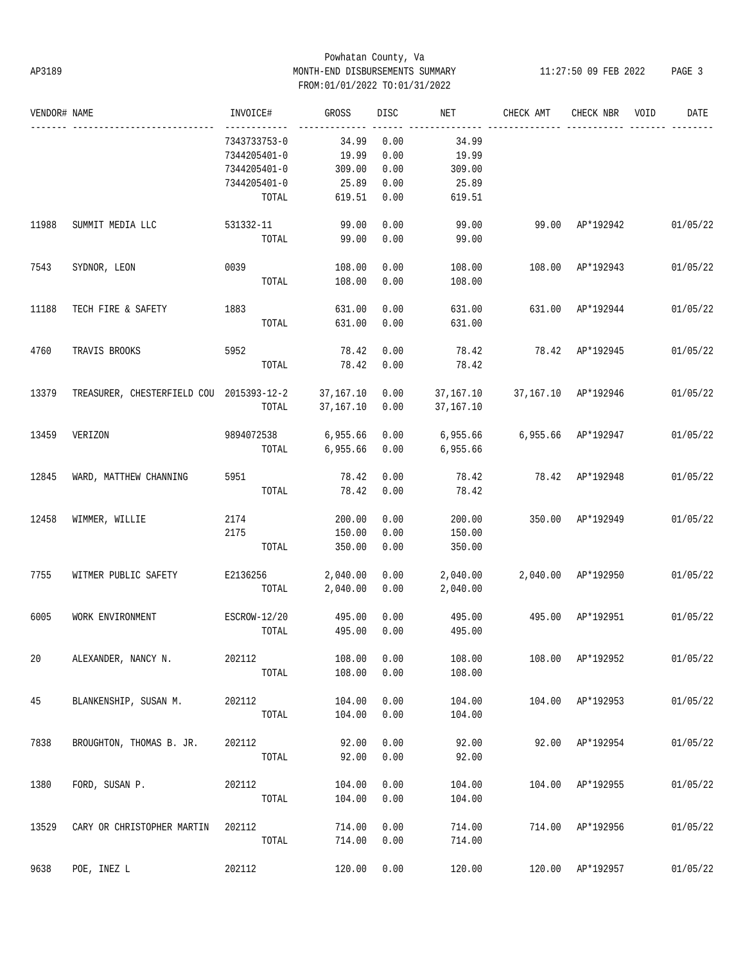# Powhatan County, Va AP3189 MONTH-END DISBURSEMENTS SUMMARY 11:27:50 09 FEB 2022 PAGE 3 FROM:01/01/2022 TO:01/31/2022

| VENDOR# NAME |                                                    | INVOICE#     | GROSS     | DISC | NET       | CHECK AMT           | CHECK NBR          | VOID | DATE     |
|--------------|----------------------------------------------------|--------------|-----------|------|-----------|---------------------|--------------------|------|----------|
|              |                                                    | 7343733753-0 | 34.99     | 0.00 | 34.99     |                     |                    |      |          |
|              |                                                    | 7344205401-0 | 19.99     | 0.00 | 19.99     |                     |                    |      |          |
|              |                                                    | 7344205401-0 | 309.00    | 0.00 | 309.00    |                     |                    |      |          |
|              |                                                    | 7344205401-0 | 25.89     | 0.00 | 25.89     |                     |                    |      |          |
|              |                                                    | TOTAL        | 619.51    | 0.00 | 619.51    |                     |                    |      |          |
| 11988        | SUMMIT MEDIA LLC                                   | 531332-11    | 99.00     | 0.00 | 99.00     |                     | 99.00 AP*192942    |      | 01/05/22 |
|              |                                                    | TOTAL        | 99.00     | 0.00 | 99.00     |                     |                    |      |          |
| 7543         | SYDNOR, LEON                                       | 0039         | 108.00    | 0.00 | 108.00    |                     | 108.00 AP*192943   |      | 01/05/22 |
|              |                                                    | TOTAL        | 108.00    | 0.00 | 108.00    |                     |                    |      |          |
| 11188        | TECH FIRE & SAFETY                                 | 1883         | 631.00    | 0.00 | 631.00    | 631.00 AP*192944    |                    |      | 01/05/22 |
|              |                                                    | TOTAL        | 631.00    | 0.00 | 631.00    |                     |                    |      |          |
| 4760         | TRAVIS BROOKS                                      | 5952         | 78.42     | 0.00 | 78.42     |                     | 78.42 AP*192945    |      | 01/05/22 |
|              |                                                    | TOTAL        | 78.42     | 0.00 | 78.42     |                     |                    |      |          |
| 13379        | TREASURER, CHESTERFIELD COU 2015393-12-2 37,167.10 |              |           | 0.00 | 37,167.10 | 37,167.10 AP*192946 |                    |      | 01/05/22 |
|              |                                                    | TOTAL        | 37,167.10 | 0.00 | 37,167.10 |                     |                    |      |          |
| 13459        | VERIZON                                            | 9894072538   | 6,955.66  | 0.00 | 6,955.66  | 6,955.66 AP*192947  |                    |      | 01/05/22 |
|              |                                                    | TOTAL        | 6,955.66  | 0.00 | 6,955.66  |                     |                    |      |          |
| 12845        | WARD, MATTHEW CHANNING                             | 5951         | 78.42     | 0.00 | 78.42     |                     | 78.42 AP*192948    |      | 01/05/22 |
|              |                                                    | TOTAL        | 78.42     | 0.00 | 78.42     |                     |                    |      |          |
| 12458        | WIMMER, WILLIE                                     | 2174         | 200.00    | 0.00 | 200.00    |                     | 350.00 AP*192949   |      | 01/05/22 |
|              |                                                    | 2175         | 150.00    | 0.00 | 150.00    |                     |                    |      |          |
|              |                                                    | TOTAL        | 350.00    | 0.00 | 350.00    |                     |                    |      |          |
| 7755         | WITMER PUBLIC SAFETY                               | E2136256     | 2,040.00  | 0.00 | 2,040.00  |                     | 2,040.00 AP*192950 |      | 01/05/22 |
|              |                                                    | TOTAL        | 2,040.00  | 0.00 | 2,040.00  |                     |                    |      |          |
| 6005         | WORK ENVIRONMENT                                   | ESCROW-12/20 | 495.00    | 0.00 | 495.00    | 495.00 AP*192951    |                    |      | 01/05/22 |
|              |                                                    | TOTAL        | 495.00    | 0.00 | 495.00    |                     |                    |      |          |
| 20           | ALEXANDER, NANCY N.                                | 202112       | 108.00    | 0.00 | 108.00    |                     | 108.00 AP*192952   |      | 01/05/22 |
|              |                                                    | TOTAL        | 108.00    | 0.00 | 108.00    |                     |                    |      |          |
| 45           | BLANKENSHIP, SUSAN M.                              | 202112       | 104.00    | 0.00 | 104.00    |                     | 104.00 AP*192953   |      | 01/05/22 |
|              |                                                    | TOTAL        | 104.00    | 0.00 | 104.00    |                     |                    |      |          |
| 7838         | BROUGHTON, THOMAS B. JR.                           | 202112       | 92.00     | 0.00 | 92.00     |                     | 92.00 AP*192954    |      | 01/05/22 |
|              |                                                    | TOTAL        | 92.00     | 0.00 | 92.00     |                     |                    |      |          |
| 1380         | FORD, SUSAN P.                                     | 202112       | 104.00    | 0.00 | 104.00    |                     | 104.00 AP*192955   |      | 01/05/22 |
|              |                                                    | TOTAL        | 104.00    | 0.00 | 104.00    |                     |                    |      |          |
| 13529        | CARY OR CHRISTOPHER MARTIN                         | 202112       | 714.00    | 0.00 | 714.00    | 714.00              | AP*192956          |      | 01/05/22 |
|              |                                                    | TOTAL        | 714.00    | 0.00 | 714.00    |                     |                    |      |          |
| 9638         | POE, INEZ L                                        | 202112       | 120.00    | 0.00 | 120.00    |                     | 120.00 AP*192957   |      | 01/05/22 |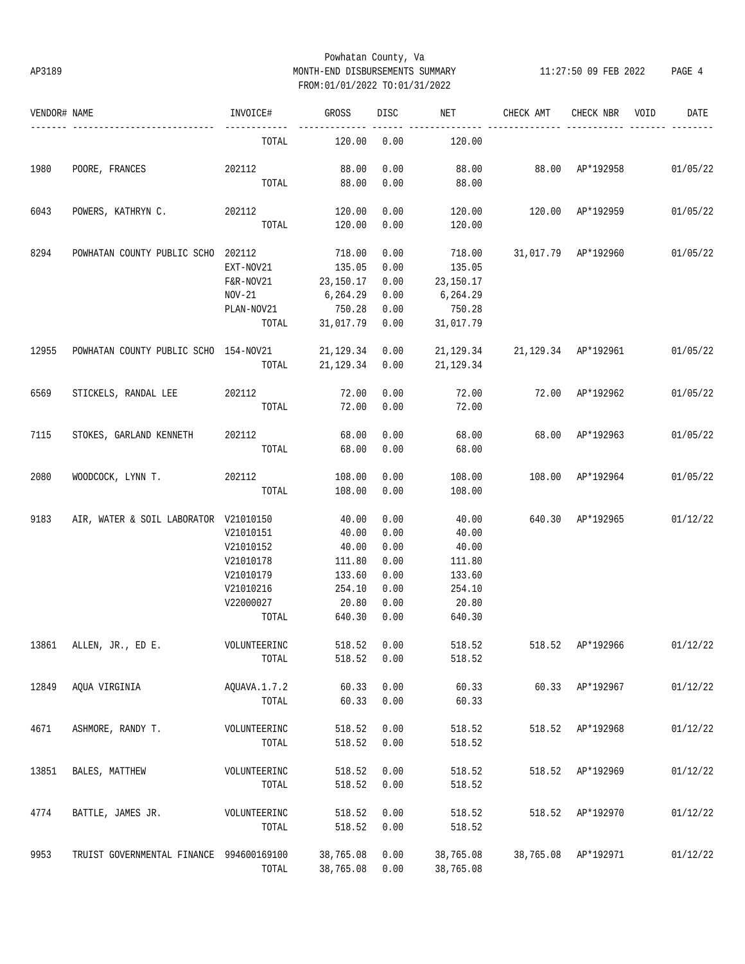# Powhatan County, Va AP3189 MONTH-END DISBURSEMENTS SUMMARY 11:27:50 09 FEB 2022 PAGE 4 FROM:01/01/2022 TO:01/31/2022

| VENDOR# NAME |                                          | INVOICE#     | GROSS      | <b>DISC</b> | NET       | CHECK AMT                       | CHECK NBR           | VOID | DATE     |
|--------------|------------------------------------------|--------------|------------|-------------|-----------|---------------------------------|---------------------|------|----------|
|              |                                          | TOTAL        | 120.00     | 0.00        | 120.00    |                                 |                     |      |          |
| 1980         | POORE, FRANCES                           | 202112       | 88.00      | 0.00        |           | 88.00 88.00 AP*192958           |                     |      | 01/05/22 |
|              |                                          | TOTAL        | 88.00      | 0.00        | 88.00     |                                 |                     |      |          |
| 6043         | POWERS, KATHRYN C.                       | 202112       | 120.00     | 0.00        | 120.00    | 120.00                          | AP*192959           |      | 01/05/22 |
|              |                                          | TOTAL        | 120.00     | 0.00        | 120.00    |                                 |                     |      |          |
| 8294         | POWHATAN COUNTY PUBLIC SCHO 202112       |              | 718.00     | 0.00        | 718.00    |                                 | 31,017.79 AP*192960 |      | 01/05/22 |
|              |                                          | EXT-NOV21    | 135.05     | 0.00        | 135.05    |                                 |                     |      |          |
|              |                                          | F&R-NOV21    | 23,150.17  | 0.00        | 23,150.17 |                                 |                     |      |          |
|              |                                          | $NOV-21$     | 6,264.29   | 0.00        | 6,264.29  |                                 |                     |      |          |
|              |                                          | PLAN-NOV21   | 750.28     | 0.00        | 750.28    |                                 |                     |      |          |
|              |                                          | TOTAL        | 31,017.79  | 0.00        | 31,017.79 |                                 |                     |      |          |
| 12955        | POWHATAN COUNTY PUBLIC SCHO 154-NOV21    |              | 21, 129.34 | 0.00        |           | 21, 129.34 21, 129.34 AP*192961 |                     |      | 01/05/22 |
|              |                                          | TOTAL        | 21,129.34  | 0.00        | 21,129.34 |                                 |                     |      |          |
| 6569         | STICKELS, RANDAL LEE                     | 202112       | 72.00      | 0.00        | 72.00     | 72.00 AP*192962                 |                     |      | 01/05/22 |
|              |                                          | TOTAL        | 72.00      | 0.00        | 72.00     |                                 |                     |      |          |
| 7115         | STOKES, GARLAND KENNETH                  | 202112       | 68.00      | 0.00        | 68.00     |                                 | 68.00 AP*192963     |      | 01/05/22 |
|              |                                          | TOTAL        | 68.00      | 0.00        | 68.00     |                                 |                     |      |          |
| 2080         | WOODCOCK, LYNN T.                        | 202112       | 108.00     | 0.00        | 108.00    |                                 | 108.00 AP*192964    |      | 01/05/22 |
|              |                                          | TOTAL        | 108.00     | 0.00        | 108.00    |                                 |                     |      |          |
| 9183         | AIR, WATER & SOIL LABORATOR V21010150    |              | 40.00      | 0.00        | 40.00     | 640.30 AP*192965                |                     |      | 01/12/22 |
|              |                                          | V21010151    | 40.00      | 0.00        | 40.00     |                                 |                     |      |          |
|              |                                          | V21010152    | 40.00      | 0.00        | 40.00     |                                 |                     |      |          |
|              |                                          | V21010178    | 111.80     | 0.00        | 111.80    |                                 |                     |      |          |
|              |                                          | V21010179    | 133.60     | 0.00        | 133.60    |                                 |                     |      |          |
|              |                                          | V21010216    | 254.10     | 0.00        | 254.10    |                                 |                     |      |          |
|              |                                          | V22000027    | 20.80      | 0.00        | 20.80     |                                 |                     |      |          |
|              |                                          | TOTAL        | 640.30     | 0.00        | 640.30    |                                 |                     |      |          |
| 13861        | ALLEN, JR., ED E.                        | VOLUNTEERINC | 518.52     | 0.00        | 518.52    |                                 | 518.52 AP*192966    |      | 01/12/22 |
|              |                                          | TOTAL        | 518.52     | 0.00        | 518.52    |                                 |                     |      |          |
| 12849        | AQUA VIRGINIA                            | AQUAVA.1.7.2 | 60.33      | 0.00        | 60.33     |                                 | 60.33 AP*192967     |      | 01/12/22 |
|              |                                          | TOTAL        | 60.33      | 0.00        | 60.33     |                                 |                     |      |          |
| 4671         | ASHMORE, RANDY T.                        | VOLUNTEERINC | 518.52     | 0.00        | 518.52    | 518.52                          | AP*192968           |      | 01/12/22 |
|              |                                          | TOTAL        | 518.52     | 0.00        | 518.52    |                                 |                     |      |          |
| 13851        | BALES, MATTHEW                           | VOLUNTEERINC | 518.52     | 0.00        | 518.52    | 518.52                          | AP*192969           |      | 01/12/22 |
|              |                                          | TOTAL        | 518.52     | 0.00        | 518.52    |                                 |                     |      |          |
| 4774         | BATTLE, JAMES JR.                        | VOLUNTEERINC | 518.52     | 0.00        | 518.52    | 518.52                          | AP*192970           |      | 01/12/22 |
|              |                                          | TOTAL        | 518.52     | 0.00        | 518.52    |                                 |                     |      |          |
| 9953         | TRUIST GOVERNMENTAL FINANCE 994600169100 |              | 38,765.08  | 0.00        | 38,765.08 |                                 | 38,765.08 AP*192971 |      | 01/12/22 |
|              |                                          | TOTAL        | 38,765.08  | 0.00        | 38,765.08 |                                 |                     |      |          |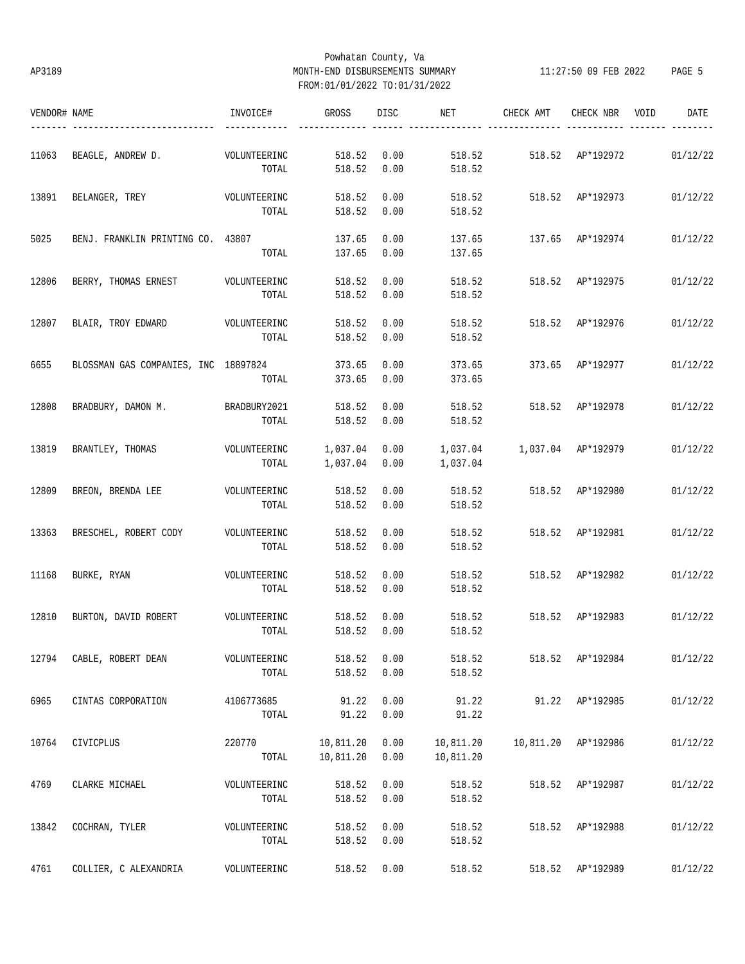# Powhatan County, Va AP3189 MONTH-END DISBURSEMENTS SUMMARY 11:27:50 09 FEB 2022 PAGE 5 FROM:01/01/2022 TO:01/31/2022

| VENDOR# NAME |                                      | INVOICE#     | GROSS         | DISC | NET       | CHECK AMT        | CHECK NBR           | DATE<br>VOID |
|--------------|--------------------------------------|--------------|---------------|------|-----------|------------------|---------------------|--------------|
| 11063        | BEAGLE, ANDREW D.                    | VOLUNTEERINC | 518.52        | 0.00 | 518.52    |                  | 518.52 AP*192972    | 01/12/22     |
|              |                                      | TOTAL        | 518.52        | 0.00 | 518.52    |                  |                     |              |
| 13891        | BELANGER, TREY                       | VOLUNTEERINC | 518.52        | 0.00 | 518.52    | 518.52 AP*192973 |                     | 01/12/22     |
|              |                                      | TOTAL        | 518.52        | 0.00 | 518.52    |                  |                     |              |
| 5025         | BENJ. FRANKLIN PRINTING CO. 43807    |              | 137.65        | 0.00 | 137.65    |                  | 137.65 AP*192974    | 01/12/22     |
|              |                                      | TOTAL        | 137.65        | 0.00 | 137.65    |                  |                     |              |
| 12806        | BERRY, THOMAS ERNEST VOLUNTEERINC    |              | 518.52        | 0.00 | 518.52    |                  | 518.52 AP*192975    | 01/12/22     |
|              |                                      | TOTAL        | 518.52        | 0.00 | 518.52    |                  |                     |              |
| 12807        | BLAIR, TROY EDWARD VOLUNTEERINC      |              | 518.52        | 0.00 | 518.52    | 518.52 AP*192976 |                     | 01/12/22     |
|              |                                      | TOTAL        | 518.52        | 0.00 | 518.52    |                  |                     |              |
| 6655         | BLOSSMAN GAS COMPANIES, INC 18897824 |              | 373.65        | 0.00 | 373.65    | 373.65 AP*192977 |                     | 01/12/22     |
|              |                                      | TOTAL        | 373.65        | 0.00 | 373.65    |                  |                     |              |
| 12808        | BRADBURY, DAMON M.                   | BRADBURY2021 | 518.52        | 0.00 | 518.52    | 518.52 AP*192978 |                     | 01/12/22     |
|              |                                      | TOTAL        | 518.52        | 0.00 | 518.52    |                  |                     |              |
| 13819        | BRANTLEY, THOMAS                     | VOLUNTEERINC | 1,037.04 0.00 |      |           |                  |                     | 01/12/22     |
|              |                                      | TOTAL        | 1,037.04 0.00 |      | 1,037.04  |                  |                     |              |
| 12809        | BREON, BRENDA LEE                    | VOLUNTEERINC | 518.52        | 0.00 | 518.52    | 518.52 AP*192980 |                     | 01/12/22     |
|              |                                      | TOTAL        | 518.52        | 0.00 | 518.52    |                  |                     |              |
| 13363        | BRESCHEL, ROBERT CODY                | VOLUNTEERINC | 518.52        | 0.00 | 518.52    |                  | 518.52 AP*192981    | 01/12/22     |
|              |                                      | TOTAL        | 518.52        | 0.00 | 518.52    |                  |                     |              |
| 11168        | BURKE, RYAN                          | VOLUNTEERINC | 518.52        | 0.00 | 518.52    | 518.52 AP*192982 |                     | 01/12/22     |
|              |                                      | TOTAL        | 518.52        | 0.00 | 518.52    |                  |                     |              |
| 12810        | BURTON, DAVID ROBERT                 | VOLUNTEERINC | 518.52        | 0.00 | 518.52    | 518.52 AP*192983 |                     | 01/12/22     |
|              |                                      | TOTAL        | 518.52        | 0.00 | 518.52    |                  |                     |              |
| 12794        | CABLE, ROBERT DEAN                   | VOLUNTEERINC | 518.52        | 0.00 | 518.52    |                  | 518.52 AP*192984    | 01/12/22     |
|              |                                      | TOTAL        | 518.52        | 0.00 | 518.52    |                  |                     |              |
| 6965         | CINTAS CORPORATION                   | 4106773685   | 91.22         | 0.00 | 91.22     |                  | 91.22 AP*192985     | 01/12/22     |
|              |                                      | TOTAL        | 91.22         | 0.00 | 91.22     |                  |                     |              |
| 10764        | CIVICPLUS                            | 220770       | 10,811.20     | 0.00 | 10,811.20 |                  | 10,811.20 AP*192986 | 01/12/22     |
|              |                                      | TOTAL        | 10,811.20     | 0.00 | 10,811.20 |                  |                     |              |
| 4769         | CLARKE MICHAEL                       | VOLUNTEERINC | 518.52        | 0.00 | 518.52    |                  | 518.52 AP*192987    | 01/12/22     |
|              |                                      | TOTAL        | 518.52        | 0.00 | 518.52    |                  |                     |              |
| 13842        | COCHRAN, TYLER                       | VOLUNTEERINC | 518.52        | 0.00 | 518.52    |                  | 518.52 AP*192988    | 01/12/22     |
|              |                                      | TOTAL        | 518.52        | 0.00 | 518.52    |                  |                     |              |
| 4761         | COLLIER, C ALEXANDRIA                | VOLUNTEERINC | 518.52        | 0.00 | 518.52    |                  | 518.52 AP*192989    | 01/12/22     |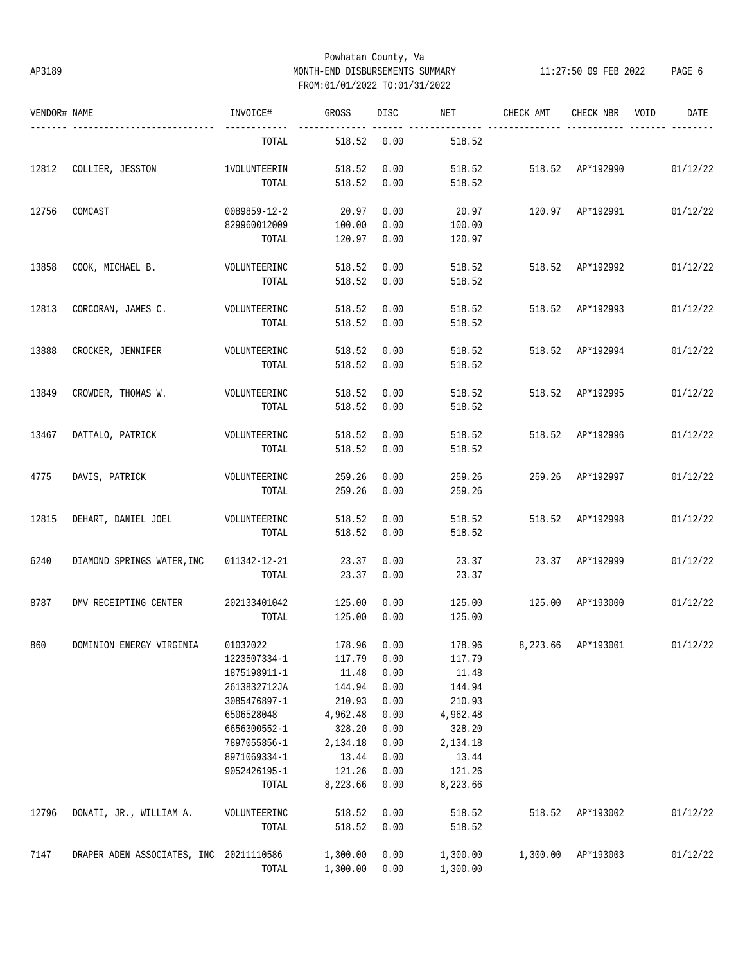# Powhatan County, Va AP3189 MONTH-END DISBURSEMENTS SUMMARY 11:27:50 09 FEB 2022 PAGE 6 FROM:01/01/2022 TO:01/31/2022

| VENDOR# NAME |                                         | INVOICE#            | GROSS       | <b>DISC</b> | NET      | CHECK AMT                          | CHECK NBR        | VOID | DATE     |
|--------------|-----------------------------------------|---------------------|-------------|-------------|----------|------------------------------------|------------------|------|----------|
|              |                                         | TOTAL               | 518.52      | 0.00        | 518.52   |                                    |                  |      |          |
| 12812        | COLLIER, JESSTON                        | <b>1VOLUNTEERIN</b> | 518.52      | 0.00        | 518.52   | 518.52 AP*192990                   |                  |      | 01/12/22 |
|              |                                         | TOTAL               | 518.52      | 0.00        | 518.52   |                                    |                  |      |          |
| 12756        | COMCAST                                 | 0089859-12-2        | 20.97       | 0.00        | 20.97    |                                    | 120.97 AP*192991 |      | 01/12/22 |
|              |                                         | 829960012009        | 100.00      | 0.00        | 100.00   |                                    |                  |      |          |
|              |                                         | TOTAL               | 120.97      | 0.00        | 120.97   |                                    |                  |      |          |
| 13858        | COOK, MICHAEL B.                        | VOLUNTEERINC        | 518.52      | 0.00        | 518.52   | 518.52                             | AP*192992        |      | 01/12/22 |
|              |                                         | TOTAL               | 518.52      | 0.00        | 518.52   |                                    |                  |      |          |
| 12813        | CORCORAN, JAMES C.                      | VOLUNTEERINC        | 518.52      | 0.00        | 518.52   | 518.52                             | AP*192993        |      | 01/12/22 |
|              |                                         | TOTAL               | 518.52      | 0.00        | 518.52   |                                    |                  |      |          |
| 13888        | CROCKER, JENNIFER                       | VOLUNTEERINC        | 518.52      | 0.00        | 518.52   | 518.52                             | AP*192994        |      | 01/12/22 |
|              |                                         | TOTAL               | 518.52      | 0.00        | 518.52   |                                    |                  |      |          |
| 13849        | CROWDER, THOMAS W.                      | VOLUNTEERINC        | 518.52      | 0.00        | 518.52   | 518.52                             | AP*192995        |      | 01/12/22 |
|              |                                         | TOTAL               | 518.52      | 0.00        | 518.52   |                                    |                  |      |          |
| 13467        | DATTALO, PATRICK                        | VOLUNTEERINC        | 518.52      | 0.00        | 518.52   | 518.52                             | AP*192996        |      | 01/12/22 |
|              |                                         | TOTAL               | 518.52      | 0.00        | 518.52   |                                    |                  |      |          |
| 4775         | DAVIS, PATRICK                          | VOLUNTEERINC        | 259.26      | 0.00        | 259.26   | 259.26                             | AP*192997        |      | 01/12/22 |
|              |                                         | TOTAL               | 259.26      | 0.00        | 259.26   |                                    |                  |      |          |
| 12815        | DEHART, DANIEL JOEL                     | VOLUNTEERINC        | 518.52      | 0.00        | 518.52   |                                    | 518.52 AP*192998 |      | 01/12/22 |
|              |                                         | TOTAL               | 518.52      | 0.00        | 518.52   |                                    |                  |      |          |
| 6240         | DIAMOND SPRINGS WATER, INC              | 011342-12-21        | 23.37       | 0.00        | 23.37    |                                    | 23.37 AP*192999  |      | 01/12/22 |
|              |                                         | TOTAL               | 23.37       | 0.00        | 23.37    |                                    |                  |      |          |
| 8787         | DMV RECEIPTING CENTER                   | 202133401042        | 125.00      | 0.00        | 125.00   | 125.00                             | AP*193000        |      | 01/12/22 |
|              |                                         | TOTAL               | 125.00      | 0.00        | 125.00   |                                    |                  |      |          |
| 860          | DOMINION ENERGY VIRGINIA 01032022       |                     | 178.96 0.00 |             |          | 178.96 8,223.66 AP*193001 01/12/22 |                  |      |          |
|              |                                         | 1223507334-1        | 117.79      | 0.00        | 117.79   |                                    |                  |      |          |
|              |                                         | 1875198911-1        | 11.48       | 0.00        | 11.48    |                                    |                  |      |          |
|              |                                         | 2613832712JA        | 144.94      | 0.00        | 144.94   |                                    |                  |      |          |
|              |                                         | 3085476897-1        | 210.93      | 0.00        | 210.93   |                                    |                  |      |          |
|              |                                         | 6506528048          | 4,962.48    | 0.00        | 4,962.48 |                                    |                  |      |          |
|              |                                         | 6656300552-1        | 328.20      | 0.00        | 328.20   |                                    |                  |      |          |
|              |                                         | 7897055856-1        | 2,134.18    | 0.00        | 2,134.18 |                                    |                  |      |          |
|              |                                         | 8971069334-1        | 13.44       | 0.00        | 13.44    |                                    |                  |      |          |
|              |                                         | 9052426195-1        | 121.26      | 0.00        | 121.26   |                                    |                  |      |          |
|              |                                         | TOTAL               | 8,223.66    | 0.00        | 8,223.66 |                                    |                  |      |          |
| 12796        | DONATI, JR., WILLIAM A.                 | VOLUNTEERINC        | 518.52      | 0.00        | 518.52   | 518.52                             | AP*193002        |      | 01/12/22 |
|              |                                         | TOTAL               | 518.52      | 0.00        | 518.52   |                                    |                  |      |          |
| 7147         | DRAPER ADEN ASSOCIATES, INC 20211110586 |                     | 1,300.00    | 0.00        | 1,300.00 | 1,300.00                           | AP*193003        |      | 01/12/22 |
|              |                                         | TOTAL               | 1,300.00    | 0.00        | 1,300.00 |                                    |                  |      |          |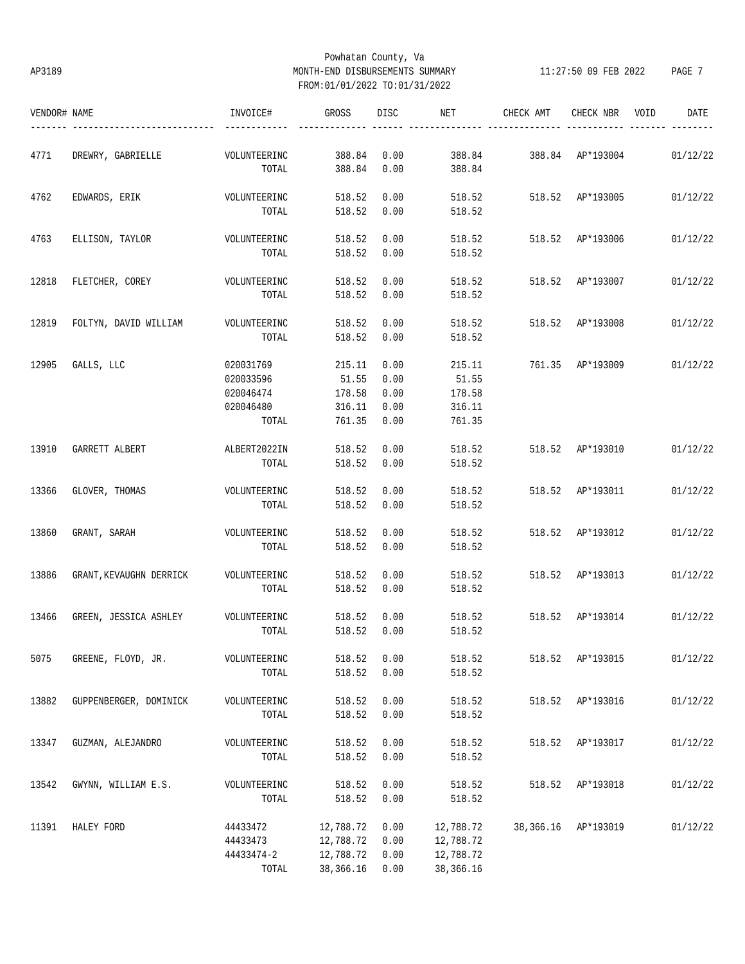# Powhatan County, Va AP3189 MONTH-END DISBURSEMENTS SUMMARY 11:27:50 09 FEB 2022 PAGE 7 FROM:01/01/2022 TO:01/31/2022

| VENDOR# NAME |                         | INVOICE#     | GROSS       | DISC <sub>2</sub> | <b>NET</b> | CHECK AMT               | CHECK NBR VOID | DATE     |
|--------------|-------------------------|--------------|-------------|-------------------|------------|-------------------------|----------------|----------|
| 4771         | DREWRY, GABRIELLE       | VOLUNTEERINC | 388.84      | 0.00              |            | 388.84 388.84 AP*193004 |                | 01/12/22 |
|              |                         | TOTAL        | 388.84      | 0.00              | 388.84     |                         |                |          |
| 4762         | EDWARDS, ERIK           | VOLUNTEERINC | 518.52      | 0.00              |            | 518.52 518.52 AP*193005 |                | 01/12/22 |
|              |                         | TOTAL        | 518.52 0.00 |                   | 518.52     |                         |                |          |
| 4763         | ELLISON, TAYLOR         | VOLUNTEERINC | 518.52      | 0.00              | 518.52     | 518.52 AP*193006        |                | 01/12/22 |
|              |                         | TOTAL        | 518.52 0.00 |                   | 518.52     |                         |                |          |
| 12818        | FLETCHER, COREY         | VOLUNTEERINC | 518.52      | 0.00              | 518.52     | 518.52 AP*193007        |                | 01/12/22 |
|              |                         | TOTAL        | 518.52 0.00 |                   | 518.52     |                         |                |          |
| 12819        | FOLTYN, DAVID WILLIAM   | VOLUNTEERINC | 518.52      | 0.00              | 518.52     | 518.52 AP*193008        |                | 01/12/22 |
|              |                         | TOTAL        | 518.52 0.00 |                   | 518.52     |                         |                |          |
| 12905        | GALLS, LLC              | 020031769    | 215.11      | 0.00              | 215.11     | 761.35 AP*193009        |                | 01/12/22 |
|              |                         | 020033596    | 51.55       | 0.00              | 51.55      |                         |                |          |
|              |                         | 020046474    | 178.58      | 0.00              | 178.58     |                         |                |          |
|              |                         | 020046480    | 316.11      | 0.00              | 316.11     |                         |                |          |
|              |                         | TOTAL        | 761.35 0.00 |                   | 761.35     |                         |                |          |
| 13910        | GARRETT ALBERT          | ALBERT2022IN | 518.52 0.00 |                   | 518.52     | 518.52 AP*193010        |                | 01/12/22 |
|              |                         | TOTAL        | 518.52      | 0.00              | 518.52     |                         |                |          |
| 13366        | GLOVER, THOMAS          | VOLUNTEERINC | 518.52      | 0.00              | 518.52     | 518.52 AP*193011        |                | 01/12/22 |
|              |                         | TOTAL        | 518.52      | 0.00              | 518.52     |                         |                |          |
| 13860        | GRANT, SARAH            | VOLUNTEERINC | 518.52      | 0.00              | 518.52     | 518.52 AP*193012        |                | 01/12/22 |
|              |                         | TOTAL        | 518.52      | 0.00              | 518.52     |                         |                |          |
| 13886        | GRANT, KEVAUGHN DERRICK | VOLUNTEERINC | 518.52      | 0.00              | 518.52     | 518.52 AP*193013        |                | 01/12/22 |
|              |                         | TOTAL        | 518.52 0.00 |                   | 518.52     |                         |                |          |
| 13466        | GREEN, JESSICA ASHLEY   | VOLUNTEERINC | 518.52      | 0.00              | 518.52     | 518.52 AP*193014        |                | 01/12/22 |
|              |                         | TOTAL        |             | 518.52 0.00       | 518.52     |                         |                |          |
| 5075         | GREENE, FLOYD, JR.      | VOLUNTEERINC | 518.52      | 0.00              | 518.52     | 518.52                  | AP*193015      | 01/12/22 |
|              |                         | TOTAL        | 518.52      | 0.00              | 518.52     |                         |                |          |
| 13882        | GUPPENBERGER, DOMINICK  | VOLUNTEERINC | 518.52      | 0.00              | 518.52     | 518.52                  | AP*193016      | 01/12/22 |
|              |                         | TOTAL        | 518.52      | 0.00              | 518.52     |                         |                |          |
| 13347        | GUZMAN, ALEJANDRO       | VOLUNTEERINC | 518.52      | 0.00              | 518.52     | 518.52                  | AP*193017      | 01/12/22 |
|              |                         | TOTAL        | 518.52      | 0.00              | 518.52     |                         |                |          |
| 13542        | GWYNN, WILLIAM E.S.     | VOLUNTEERINC | 518.52      | 0.00              | 518.52     | 518.52                  | AP*193018      | 01/12/22 |
|              |                         | TOTAL        | 518.52      | 0.00              | 518.52     |                         |                |          |
| 11391        | HALEY FORD              | 44433472     | 12,788.72   | 0.00              | 12,788.72  | 38,366.16               | AP*193019      | 01/12/22 |
|              |                         | 44433473     | 12,788.72   | 0.00              | 12,788.72  |                         |                |          |
|              |                         | 44433474-2   | 12,788.72   | 0.00              | 12,788.72  |                         |                |          |
|              |                         | TOTAL        | 38, 366. 16 | 0.00              | 38,366.16  |                         |                |          |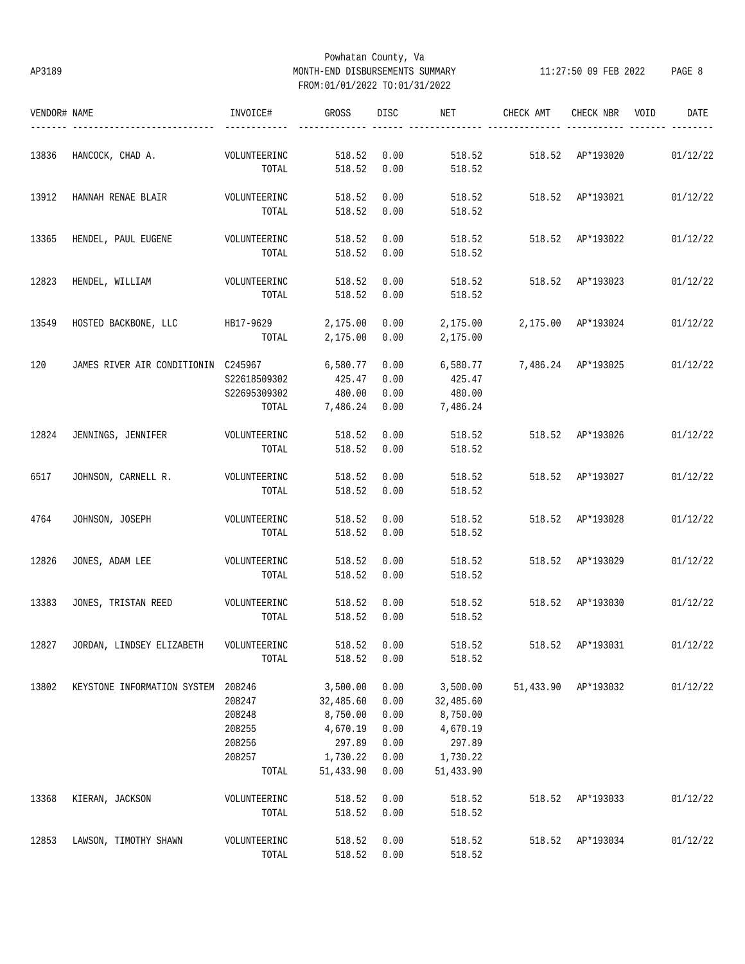# Powhatan County, Va AP3189 MONTH-END DISBURSEMENTS SUMMARY 11:27:50 09 FEB 2022 PAGE 8 FROM:01/01/2022 TO:01/31/2022

| VENDOR# NAME |                                              | INVOICE#     | GROSS     | DISC | NET       | CHECK AMT          | CHECK NBR           | VOID | DATE     |
|--------------|----------------------------------------------|--------------|-----------|------|-----------|--------------------|---------------------|------|----------|
| 13836        | HANCOCK, CHAD A.                             | VOLUNTEERINC | 518.52    | 0.00 | 518.52    | 518.52 AP*193020   |                     |      | 01/12/22 |
|              |                                              | TOTAL        | 518.52    | 0.00 | 518.52    |                    |                     |      |          |
| 13912        | HANNAH RENAE BLAIR                           | VOLUNTEERINC | 518.52    | 0.00 | 518.52    | 518.52 AP*193021   |                     |      | 01/12/22 |
|              |                                              | TOTAL        | 518.52    | 0.00 | 518.52    |                    |                     |      |          |
| 13365        | HENDEL, PAUL EUGENE                          | VOLUNTEERINC | 518.52    | 0.00 | 518.52    | 518.52 AP*193022   |                     |      | 01/12/22 |
|              |                                              | TOTAL        | 518.52    | 0.00 | 518.52    |                    |                     |      |          |
| 12823        | HENDEL, WILLIAM                              | VOLUNTEERINC | 518.52    | 0.00 | 518.52    | 518.52             | AP*193023           |      | 01/12/22 |
|              |                                              | TOTAL        | 518.52    | 0.00 | 518.52    |                    |                     |      |          |
| 13549        | HOSTED BACKBONE, LLC HB17-9629               |              | 2,175.00  | 0.00 | 2,175.00  | 2,175.00 AP*193024 |                     |      | 01/12/22 |
|              |                                              | TOTAL        | 2,175.00  | 0.00 | 2,175.00  |                    |                     |      |          |
| 120          | JAMES RIVER AIR CONDITIONIN C245967 6,580.77 |              |           | 0.00 | 6,580.77  | 7,486.24 AP*193025 |                     |      | 01/12/22 |
|              |                                              | S22618509302 | 425.47    | 0.00 | 425.47    |                    |                     |      |          |
|              |                                              | S22695309302 | 480.00    | 0.00 | 480.00    |                    |                     |      |          |
|              |                                              | TOTAL        | 7,486.24  | 0.00 | 7,486.24  |                    |                     |      |          |
| 12824        | JENNINGS, JENNIFER                           | VOLUNTEERINC | 518.52    | 0.00 | 518.52    | 518.52 AP*193026   |                     |      | 01/12/22 |
|              |                                              | TOTAL        | 518.52    | 0.00 | 518.52    |                    |                     |      |          |
| 6517         | JOHNSON, CARNELL R.                          | VOLUNTEERINC | 518.52    | 0.00 | 518.52    | 518.52 AP*193027   |                     |      | 01/12/22 |
|              |                                              | TOTAL        | 518.52    | 0.00 | 518.52    |                    |                     |      |          |
| 4764         | JOHNSON, JOSEPH                              | VOLUNTEERINC | 518.52    | 0.00 | 518.52    |                    | 518.52 AP*193028    |      | 01/12/22 |
|              |                                              | TOTAL        | 518.52    | 0.00 | 518.52    |                    |                     |      |          |
| 12826        | JONES, ADAM LEE                              | VOLUNTEERINC | 518.52    | 0.00 | 518.52    |                    | 518.52 AP*193029    |      | 01/12/22 |
|              |                                              | TOTAL        | 518.52    | 0.00 | 518.52    |                    |                     |      |          |
| 13383        | JONES, TRISTAN REED                          | VOLUNTEERINC | 518.52    | 0.00 | 518.52    | 518.52             | AP*193030           |      | 01/12/22 |
|              |                                              | TOTAL        | 518.52    | 0.00 | 518.52    |                    |                     |      |          |
| 12827        | JORDAN, LINDSEY ELIZABETH                    | VOLUNTEERINC | 518.52    | 0.00 | 518.52    | 518.52 AP*193031   |                     |      | 01/12/22 |
|              |                                              | TOTAL        | 518.52    | 0.00 | 518.52    |                    |                     |      |          |
| 13802        | KEYSTONE INFORMATION SYSTEM 208246           |              | 3,500.00  | 0.00 | 3,500.00  |                    | 51,433.90 AP*193032 |      | 01/12/22 |
|              |                                              | 208247       | 32,485.60 | 0.00 | 32,485.60 |                    |                     |      |          |
|              |                                              | 208248       | 8,750.00  | 0.00 | 8,750.00  |                    |                     |      |          |
|              |                                              | 208255       | 4,670.19  | 0.00 | 4,670.19  |                    |                     |      |          |
|              |                                              | 208256       | 297.89    | 0.00 | 297.89    |                    |                     |      |          |
|              |                                              | 208257       | 1,730.22  | 0.00 | 1,730.22  |                    |                     |      |          |
|              |                                              | TOTAL        | 51,433.90 | 0.00 | 51,433.90 |                    |                     |      |          |
| 13368        | KIERAN, JACKSON                              | VOLUNTEERINC | 518.52    | 0.00 | 518.52    | 518.52             | AP*193033           |      | 01/12/22 |
|              |                                              | TOTAL        | 518.52    | 0.00 | 518.52    |                    |                     |      |          |
| 12853        | LAWSON, TIMOTHY SHAWN                        | VOLUNTEERINC | 518.52    | 0.00 | 518.52    | 518.52             | AP*193034           |      | 01/12/22 |
|              |                                              | TOTAL        | 518.52    | 0.00 | 518.52    |                    |                     |      |          |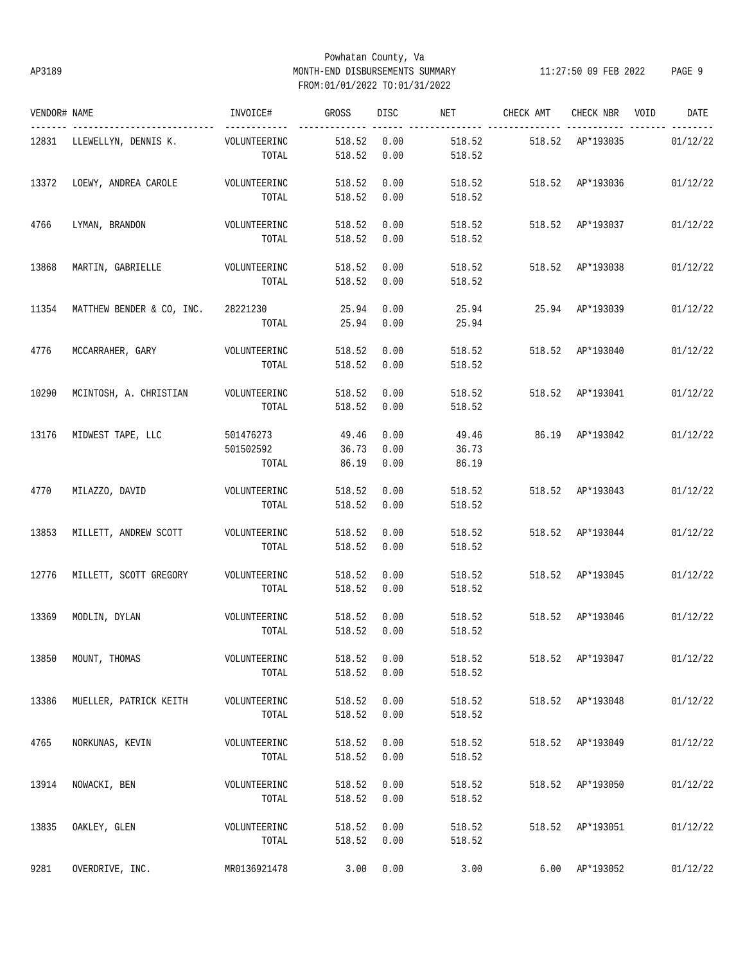# Powhatan County, Va AP3189 MONTH-END DISBURSEMENTS SUMMARY 11:27:50 09 FEB 2022 PAGE 9 FROM:01/01/2022 TO:01/31/2022

| VENDOR# NAME |                                         | INVOICE#     | <b>GROSS</b> | DISC | NET    | CHECK AMT        | CHECK NBR VOID   | DATE     |
|--------------|-----------------------------------------|--------------|--------------|------|--------|------------------|------------------|----------|
|              | 12831 LLEWELLYN, DENNIS K. VOLUNTEERINC |              | 518.52       | 0.00 | 518.52 | 518.52 AP*193035 |                  | 01/12/22 |
|              |                                         | TOTAL        | 518.52       | 0.00 | 518.52 |                  |                  |          |
| 13372        | LOEWY, ANDREA CAROLE                    | VOLUNTEERINC | 518.52       | 0.00 | 518.52 | 518.52 AP*193036 |                  | 01/12/22 |
|              |                                         | TOTAL        | 518.52       | 0.00 | 518.52 |                  |                  |          |
| 4766         | LYMAN, BRANDON                          | VOLUNTEERINC | 518.52       | 0.00 | 518.52 | 518.52 AP*193037 |                  | 01/12/22 |
|              |                                         | TOTAL        | 518.52       | 0.00 | 518.52 |                  |                  |          |
| 13868        | MARTIN, GABRIELLE VOLUNTEERINC          |              | 518.52       | 0.00 | 518.52 |                  | 518.52 AP*193038 | 01/12/22 |
|              |                                         | TOTAL        | 518.52       | 0.00 | 518.52 |                  |                  |          |
| 11354        | MATTHEW BENDER & CO, INC. 28221230      |              | 25.94        | 0.00 | 25.94  | 25.94 AP*193039  |                  | 01/12/22 |
|              |                                         | TOTAL        | 25.94        | 0.00 | 25.94  |                  |                  |          |
| 4776         | MCCARRAHER, GARY VOLUNTEERINC           |              | 518.52       | 0.00 | 518.52 |                  | 518.52 AP*193040 | 01/12/22 |
|              |                                         | TOTAL        | 518.52       | 0.00 | 518.52 |                  |                  |          |
| 10290        | MCINTOSH, A. CHRISTIAN VOLUNTEERINC     |              | 518.52       | 0.00 | 518.52 |                  | 518.52 AP*193041 | 01/12/22 |
|              |                                         | TOTAL        | 518.52       | 0.00 | 518.52 |                  |                  |          |
| 13176        | MIDWEST TAPE, LLC                       | 501476273    | 49.46        | 0.00 | 49.46  | 86.19 AP*193042  |                  | 01/12/22 |
|              |                                         | 501502592    | 36.73        | 0.00 | 36.73  |                  |                  |          |
|              |                                         | TOTAL        | 86.19        | 0.00 | 86.19  |                  |                  |          |
| 4770         | MILAZZO, DAVID                          | VOLUNTEERINC | 518.52       | 0.00 | 518.52 | 518.52 AP*193043 |                  | 01/12/22 |
|              |                                         | TOTAL        | 518.52       | 0.00 | 518.52 |                  |                  |          |
| 13853        | MILLETT, ANDREW SCOTT                   | VOLUNTEERINC | 518.52       | 0.00 | 518.52 |                  | 518.52 AP*193044 | 01/12/22 |
|              |                                         | TOTAL        | 518.52       | 0.00 | 518.52 |                  |                  |          |
| 12776        | MILLETT, SCOTT GREGORY                  | VOLUNTEERINC | 518.52       | 0.00 | 518.52 |                  | 518.52 AP*193045 | 01/12/22 |
|              |                                         | TOTAL        | 518.52       | 0.00 | 518.52 |                  |                  |          |
| 13369        | MODLIN, DYLAN                           | VOLUNTEERINC | 518.52       | 0.00 | 518.52 | 518.52           | AP*193046        | 01/12/22 |
|              |                                         | TOTAL        | 518.52       | 0.00 | 518.52 |                  |                  |          |
| 13850        | MOUNT, THOMAS                           | VOLUNTEERINC | 518.52       | 0.00 | 518.52 |                  | 518.52 AP*193047 | 01/12/22 |
|              |                                         | TOTAL        | 518.52       | 0.00 | 518.52 |                  |                  |          |
| 13386        | MUELLER, PATRICK KEITH                  | VOLUNTEERINC | 518.52       | 0.00 | 518.52 |                  | 518.52 AP*193048 | 01/12/22 |
|              |                                         | TOTAL        | 518.52       | 0.00 | 518.52 |                  |                  |          |
| 4765         | NORKUNAS, KEVIN                         | VOLUNTEERINC | 518.52       | 0.00 | 518.52 |                  | 518.52 AP*193049 | 01/12/22 |
|              |                                         | TOTAL        | 518.52       | 0.00 | 518.52 |                  |                  |          |
| 13914        | NOWACKI, BEN                            | VOLUNTEERINC | 518.52       | 0.00 | 518.52 |                  | 518.52 AP*193050 | 01/12/22 |
|              |                                         | TOTAL        | 518.52       | 0.00 | 518.52 |                  |                  |          |
| 13835        | OAKLEY, GLEN                            | VOLUNTEERINC | 518.52       | 0.00 | 518.52 |                  | 518.52 AP*193051 | 01/12/22 |
|              |                                         | TOTAL        | 518.52       | 0.00 | 518.52 |                  |                  |          |
| 9281         | OVERDRIVE, INC.                         | MR0136921478 | 3.00         | 0.00 | 3.00   |                  | 6.00 AP*193052   | 01/12/22 |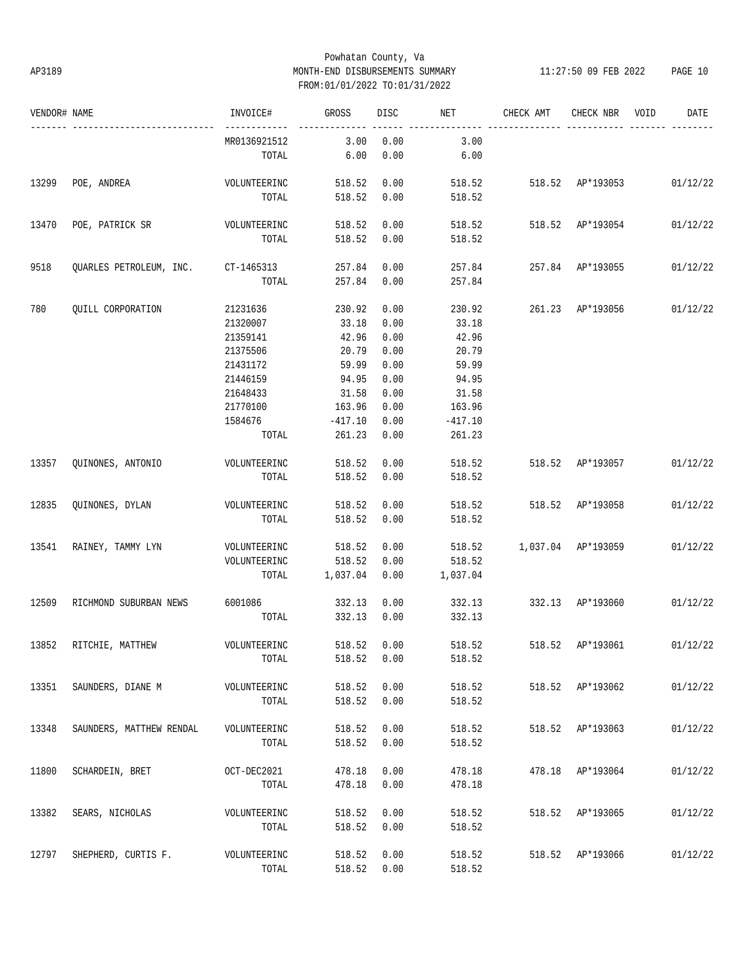# Powhatan County, Va AP3189 MONTH-END DISBURSEMENTS SUMMARY 11:27:50 09 FEB 2022 PAGE 10 FROM:01/01/2022 TO:01/31/2022

| VENDOR# NAME |                                    | INVOICE#       | <b>GROSS</b> | DISC | <b>NET</b> | CHECK AMT               | CHECK NBR        | VOID<br>DATE                                      |
|--------------|------------------------------------|----------------|--------------|------|------------|-------------------------|------------------|---------------------------------------------------|
|              |                                    | MR0136921512   | 3.00         | 0.00 | 3.00       |                         |                  |                                                   |
|              |                                    | TOTAL          | 6.00         | 0.00 | 6.00       |                         |                  |                                                   |
| 13299        | POE, ANDREA                        | VOLUNTEERINC   | 518.52       | 0.00 |            |                         |                  | 518.52 518.52 AP*193053 01/12/22                  |
|              |                                    | TOTAL          | 518.52       | 0.00 | 518.52     |                         |                  |                                                   |
| 13470        | POE, PATRICK SR VOLUNTEERINC       |                | 518.52       | 0.00 |            | 518.52 518.52 AP*193054 |                  | 01/12/22                                          |
|              |                                    | TOTAL          | 518.52       | 0.00 | 518.52     |                         |                  |                                                   |
| 9518         | QUARLES PETROLEUM, INC. CT-1465313 |                | 257.84       | 0.00 |            | 257.84 257.84 AP*193055 |                  | 01/12/22                                          |
|              |                                    | TOTAL          | 257.84 0.00  |      | 257.84     |                         |                  |                                                   |
| 780          | QUILL CORPORATION                  | 21231636       | 230.92       | 0.00 | 230.92     | 261.23 AP*193056        |                  | 01/12/22                                          |
|              |                                    | 21320007       | 33.18        | 0.00 | 33.18      |                         |                  |                                                   |
|              |                                    | 21359141       | 42.96        | 0.00 | 42.96      |                         |                  |                                                   |
|              |                                    | 21375506       | 20.79        | 0.00 | 20.79      |                         |                  |                                                   |
|              |                                    | 21431172       | 59.99        | 0.00 | 59.99      |                         |                  |                                                   |
|              |                                    | 21446159       | 94.95        | 0.00 | 94.95      |                         |                  |                                                   |
|              |                                    | 21648433       | 31.58        | 0.00 | 31.58      |                         |                  |                                                   |
|              |                                    | 21770100       | 163.96       | 0.00 | 163.96     |                         |                  |                                                   |
|              |                                    |                |              |      |            |                         |                  |                                                   |
|              |                                    | 1584676        | $-417.10$    | 0.00 | $-417.10$  |                         |                  |                                                   |
|              |                                    | TOTAL          | 261.23       | 0.00 | 261.23     |                         |                  |                                                   |
| 13357        | QUINONES, ANTONIO                  | VOLUNTEERINC   | 518.52       | 0.00 | 518.52     | 518.52 AP*193057        |                  | 01/12/22                                          |
|              |                                    | TOTAL          | 518.52       | 0.00 | 518.52     |                         |                  |                                                   |
| 12835        | QUINONES, DYLAN                    | VOLUNTEERINC   | 518.52       | 0.00 | 518.52     | 518.52 AP*193058        |                  | 01/12/22                                          |
|              |                                    | TOTAL          | 518.52       | 0.00 | 518.52     |                         |                  |                                                   |
| 13541        | RAINEY, TAMMY LYN                  | VOLUNTEERINC   | 518.52       | 0.00 | 518.52     | 1,037.04 AP*193059      |                  | 01/12/22                                          |
|              |                                    | VOLUNTEERINC   | 518.52       | 0.00 | 518.52     |                         |                  |                                                   |
|              |                                    | TOTAL          | 1,037.04     | 0.00 | 1,037.04   |                         |                  |                                                   |
| 12509        | RICHMOND SUBURBAN NEWS             | 6001086 332.13 |              | 0.00 | 332.13     | 332.13 AP*193060        |                  | 01/12/22                                          |
|              |                                    | TOTAL          | 332.13       | 0.00 | 332.13     |                         |                  |                                                   |
|              | 13852 RITCHIE, MATTHEW             | VOLUNTEERINC   |              |      |            |                         |                  | 518.52  0.00  518.52  518.52  AP*193061  01/12/22 |
|              |                                    | TOTAL          | 518.52       | 0.00 | 518.52     |                         |                  |                                                   |
| 13351        | SAUNDERS, DIANE M VOLUNTEERINC     |                | 518.52       | 0.00 | 518.52     |                         | 518.52 AP*193062 | 01/12/22                                          |
|              |                                    | TOTAL          | 518.52       | 0.00 | 518.52     |                         |                  |                                                   |
| 13348        | SAUNDERS, MATTHEW RENDAL           | VOLUNTEERINC   | 518.52       | 0.00 | 518.52     |                         | 518.52 AP*193063 | 01/12/22                                          |
|              |                                    | TOTAL          | 518.52       | 0.00 | 518.52     |                         |                  |                                                   |
|              |                                    |                |              |      |            |                         |                  |                                                   |
| 11800        | SCHARDEIN, BRET                    | OCT-DEC2021    | 478.18       | 0.00 | 478.18     |                         | 478.18 AP*193064 | 01/12/22                                          |
|              |                                    | TOTAL          | 478.18       | 0.00 | 478.18     |                         |                  |                                                   |
| 13382        | SEARS, NICHOLAS                    | VOLUNTEERINC   | 518.52       | 0.00 | 518.52     |                         | 518.52 AP*193065 | 01/12/22                                          |
|              |                                    | TOTAL          | 518.52       | 0.00 | 518.52     |                         |                  |                                                   |
| 12797        | SHEPHERD, CURTIS F.                | VOLUNTEERINC   | 518.52       | 0.00 | 518.52     |                         | 518.52 AP*193066 | 01/12/22                                          |
|              |                                    | TOTAL          | 518.52       | 0.00 | 518.52     |                         |                  |                                                   |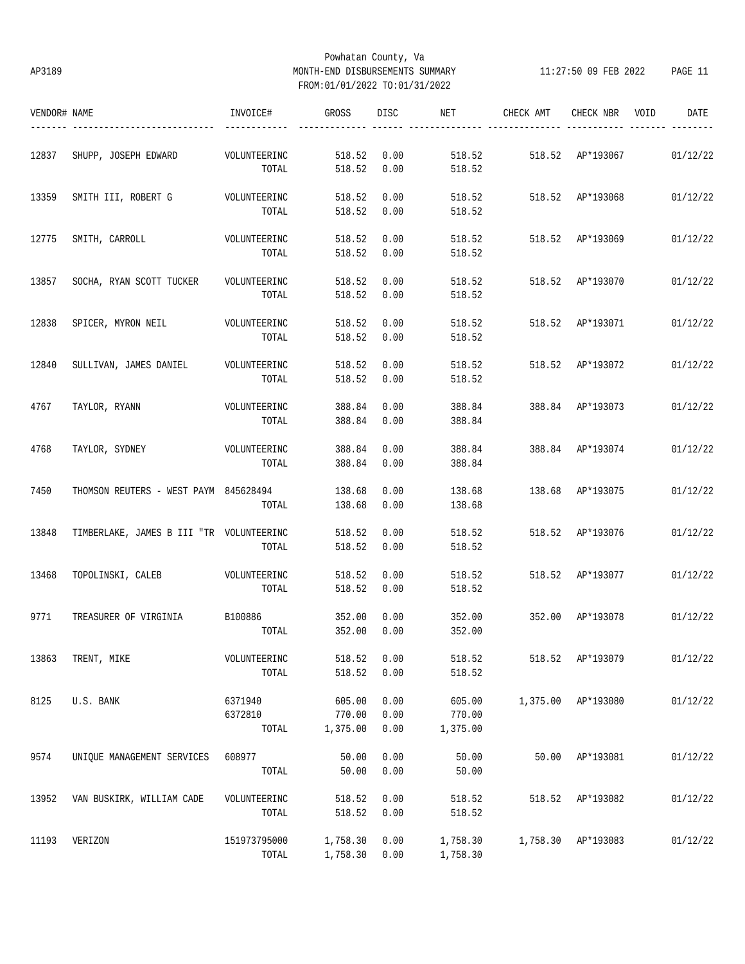# Powhatan County, Va AP3189 MONTH-END DISBURSEMENTS SUMMARY 11:27:50 09 FEB 2022 PAGE 11 FROM:01/01/2022 TO:01/31/2022

| VENDOR# NAME |                                          | INVOICE#     | GROSS    | <b>DISC</b> | NET      | CHECK AMT | CHECK NBR          | VOID | DATE     |
|--------------|------------------------------------------|--------------|----------|-------------|----------|-----------|--------------------|------|----------|
|              |                                          |              |          |             |          |           |                    |      |          |
| 12837        | SHUPP, JOSEPH EDWARD                     | VOLUNTEERINC | 518.52   | 0.00        | 518.52   | 518.52    | AP*193067          |      | 01/12/22 |
|              |                                          | TOTAL        | 518.52   | 0.00        | 518.52   |           |                    |      |          |
| 13359        | SMITH III, ROBERT G                      | VOLUNTEERINC | 518.52   | 0.00        | 518.52   | 518.52    | AP*193068          |      | 01/12/22 |
|              |                                          | TOTAL        | 518.52   | 0.00        | 518.52   |           |                    |      |          |
| 12775        | SMITH, CARROLL                           | VOLUNTEERINC | 518.52   | 0.00        | 518.52   | 518.52    | AP*193069          |      | 01/12/22 |
|              |                                          | TOTAL        | 518.52   | 0.00        | 518.52   |           |                    |      |          |
| 13857        | SOCHA, RYAN SCOTT TUCKER                 | VOLUNTEERINC | 518.52   | 0.00        | 518.52   | 518.52    | AP*193070          |      | 01/12/22 |
|              |                                          | TOTAL        | 518.52   | 0.00        | 518.52   |           |                    |      |          |
| 12838        | SPICER, MYRON NEIL                       | VOLUNTEERINC | 518.52   | 0.00        | 518.52   | 518.52    | AP*193071          |      | 01/12/22 |
|              |                                          | TOTAL        | 518.52   | 0.00        | 518.52   |           |                    |      |          |
| 12840        | SULLIVAN, JAMES DANIEL                   | VOLUNTEERINC | 518.52   | 0.00        | 518.52   | 518.52    | AP*193072          |      | 01/12/22 |
|              |                                          | TOTAL        | 518.52   | 0.00        | 518.52   |           |                    |      |          |
| 4767         | TAYLOR, RYANN                            | VOLUNTEERINC | 388.84   | 0.00        | 388.84   | 388.84    | AP*193073          |      | 01/12/22 |
|              |                                          | TOTAL        | 388.84   | 0.00        | 388.84   |           |                    |      |          |
| 4768         | TAYLOR, SYDNEY                           | VOLUNTEERINC | 388.84   | 0.00        | 388.84   |           | 388.84 AP*193074   |      | 01/12/22 |
|              |                                          | TOTAL        | 388.84   | 0.00        | 388.84   |           |                    |      |          |
| 7450         | THOMSON REUTERS - WEST PAYM 845628494    |              | 138.68   | 0.00        | 138.68   | 138.68    | AP*193075          |      | 01/12/22 |
|              |                                          | TOTAL        | 138.68   | 0.00        | 138.68   |           |                    |      |          |
| 13848        | TIMBERLAKE, JAMES B III "TR VOLUNTEERINC |              | 518.52   | 0.00        | 518.52   | 518.52    | AP*193076          |      | 01/12/22 |
|              |                                          | TOTAL        | 518.52   | 0.00        | 518.52   |           |                    |      |          |
| 13468        | TOPOLINSKI, CALEB                        | VOLUNTEERINC | 518.52   | 0.00        | 518.52   | 518.52    | AP*193077          |      | 01/12/22 |
|              |                                          | TOTAL        | 518.52   | 0.00        | 518.52   |           |                    |      |          |
| 9771         | TREASURER OF VIRGINIA                    | B100886      | 352.00   | 0.00        | 352.00   | 352.00    | AP*193078          |      | 01/12/22 |
|              |                                          | TOTAL        | 352.00   | 0.00        | 352.00   |           |                    |      |          |
| 13863        | TRENT, MIKE                              | VOLUNTEERINC | 518.52   | 0.00        | 518.52   | 518.52    | AP*193079          |      | 01/12/22 |
|              |                                          | TOTAL        | 518.52   | 0.00        | 518.52   |           |                    |      |          |
| 8125         | U.S. BANK                                | 6371940      | 605.00   | 0.00        | 605.00   |           | 1,375.00 AP*193080 |      | 01/12/22 |
|              |                                          | 6372810      | 770.00   | 0.00        | 770.00   |           |                    |      |          |
|              |                                          | TOTAL        | 1,375.00 | 0.00        | 1,375.00 |           |                    |      |          |
| 9574         | UNIQUE MANAGEMENT SERVICES               | 608977       | 50.00    | 0.00        | 50.00    | 50.00     | AP*193081          |      | 01/12/22 |
|              |                                          | TOTAL        | 50.00    | 0.00        | 50.00    |           |                    |      |          |
| 13952        | VAN BUSKIRK, WILLIAM CADE                | VOLUNTEERINC | 518.52   | 0.00        | 518.52   | 518.52    | AP*193082          |      | 01/12/22 |
|              |                                          | TOTAL        | 518.52   | 0.00        | 518.52   |           |                    |      |          |
| 11193        | VERIZON                                  | 151973795000 | 1,758.30 | 0.00        | 1,758.30 |           | 1,758.30 AP*193083 |      | 01/12/22 |
|              |                                          | TOTAL        | 1,758.30 | 0.00        | 1,758.30 |           |                    |      |          |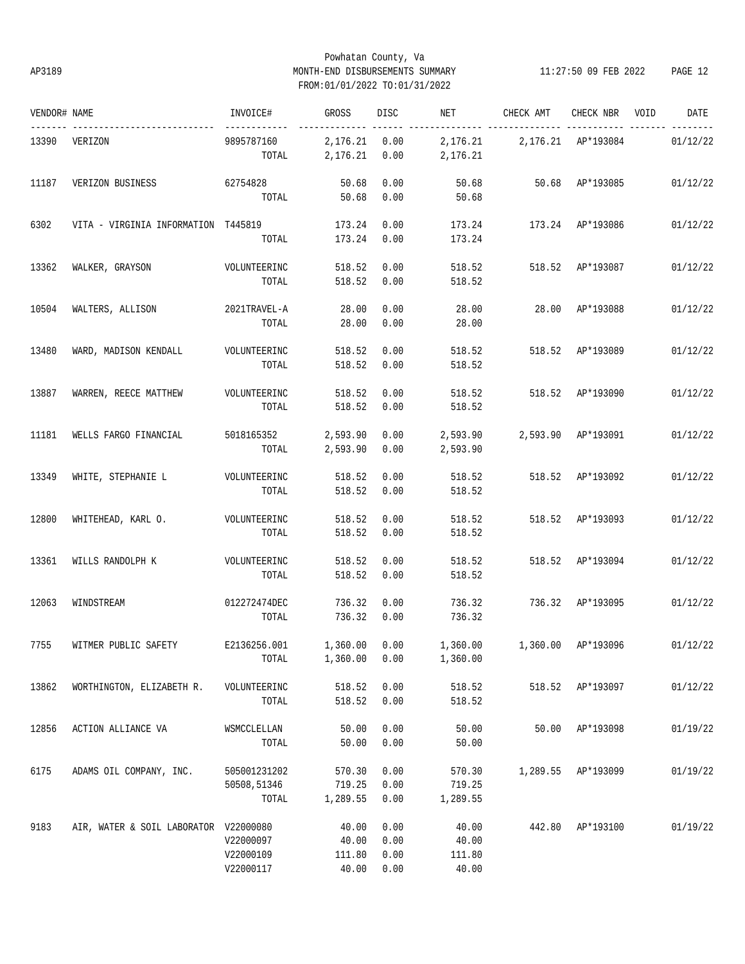# Powhatan County, Va AP3189 MONTH-END DISBURSEMENTS SUMMARY 11:27:50 09 FEB 2022 PAGE 12 FROM:01/01/2022 TO:01/31/2022

| VENDOR# NAME |                                       | INVOICE#                            | GROSS                          | DISC                 | NET                                           | CHECK AMT                                  | CHECK NBR VOID     | DATE     |
|--------------|---------------------------------------|-------------------------------------|--------------------------------|----------------------|-----------------------------------------------|--------------------------------------------|--------------------|----------|
| 13390        | VERIZON                               | ------------<br>9895787160<br>TOTAL | 2,176.21 0.00<br>2,176.21 0.00 |                      | 2,176.21    2,176.21    AP*193084<br>2,176.21 |                                            | ----- -------      | 01/12/22 |
| 11187        | VERIZON BUSINESS                      | 62754828<br>TOTAL                   | 50.68<br>50.68                 | 0.00<br>0.00         | 50.68<br>50.68                                |                                            | 50.68 AP*193085    | 01/12/22 |
| 6302         | VITA - VIRGINIA INFORMATION T445819   | TOTAL                               | 173.24<br>173.24               | 0.00<br>0.00         | 173.24<br>173.24                              |                                            | 173.24 AP*193086   | 01/12/22 |
| 13362        | WALKER, GRAYSON                       | VOLUNTEERINC                        | 518.52                         | 0.00                 | 518.52                                        | 518.52 AP*193087                           |                    | 01/12/22 |
|              |                                       | TOTAL                               | 518.52                         | 0.00                 | 518.52                                        |                                            |                    |          |
| 10504        | WALTERS, ALLISON                      | 2021TRAVEL-A<br>TOTAL               | 28.00<br>28.00                 | 0.00<br>0.00         | 28.00<br>28.00                                | 28.00                                      | AP*193088          | 01/12/22 |
| 13480        | WARD, MADISON KENDALL                 | VOLUNTEERINC<br>TOTAL               | 518.52<br>518.52               | 0.00<br>0.00         | 518.52<br>518.52                              | 518.52                                     | AP*193089          | 01/12/22 |
| 13887        | WARREN, REECE MATTHEW                 | VOLUNTEERINC<br>TOTAL               | 518.52<br>518.52               | 0.00<br>0.00         | 518.52<br>518.52                              | 518.52                                     | AP*193090          | 01/12/22 |
| 11181        | WELLS FARGO FINANCIAL                 | 5018165352<br>TOTAL                 | 2,593.90<br>2,593.90           | 0.00<br>0.00         | 2,593.90                                      |                                            |                    | 01/12/22 |
| 13349        | WHITE, STEPHANIE L                    | VOLUNTEERINC<br>TOTAL               | 518.52<br>518.52               | 0.00<br>0.00         | 518.52<br>518.52                              |                                            | 518.52 AP*193092   | 01/12/22 |
| 12800        | WHITEHEAD, KARL O.                    | VOLUNTEERINC<br>TOTAL               | 518.52<br>518.52               | 0.00<br>0.00         | 518.52<br>518.52                              |                                            | 518.52 AP*193093   | 01/12/22 |
| 13361        | WILLS RANDOLPH K                      | VOLUNTEERINC                        | 518.52                         | 0.00                 | 518.52                                        |                                            | 518.52 AP*193094   | 01/12/22 |
|              |                                       | TOTAL                               | 518.52                         | 0.00                 | 518.52                                        |                                            |                    |          |
| 12063        | WINDSTREAM                            | 012272474DEC<br>TOTAL               | 736.32<br>736.32 0.00          | 0.00                 | 736.32<br>736.32                              | 736.32 AP*193095                           |                    | 01/12/22 |
| 7755         | WITMER PUBLIC SAFETY                  | E2136256.001 1,360.00 0.00<br>TOTAL | 1,360.00                       | 0.00                 | 1,360.00                                      | 1,360.00   1,360.00   AP*193096   01/12/22 |                    |          |
| 13862        | WORTHINGTON, ELIZABETH R.             | VOLUNTEERINC<br>TOTAL               | 518.52<br>518.52               | 0.00<br>0.00         | 518.52<br>518.52                              |                                            | 518.52 AP*193097   | 01/12/22 |
| 12856        | ACTION ALLIANCE VA                    | WSMCCLELLAN<br>TOTAL                | 50.00<br>50.00                 | 0.00<br>0.00         | 50.00<br>50.00                                |                                            | 50.00 AP*193098    | 01/19/22 |
| 6175         | ADAMS OIL COMPANY, INC.               | 505001231202<br>50508,51346         | 570.30<br>719.25               | 0.00<br>0.00         | 570.30<br>719.25                              |                                            | 1,289.55 AP*193099 | 01/19/22 |
|              |                                       | TOTAL                               | 1,289.55                       | 0.00                 | 1,289.55                                      |                                            |                    |          |
| 9183         | AIR, WATER & SOIL LABORATOR V22000080 | V22000097<br>V22000109              | 40.00<br>40.00<br>111.80       | 0.00<br>0.00<br>0.00 | 40.00<br>40.00<br>111.80                      | 442.80                                     | AP*193100          | 01/19/22 |
|              |                                       | V22000117                           | 40.00                          | 0.00                 | 40.00                                         |                                            |                    |          |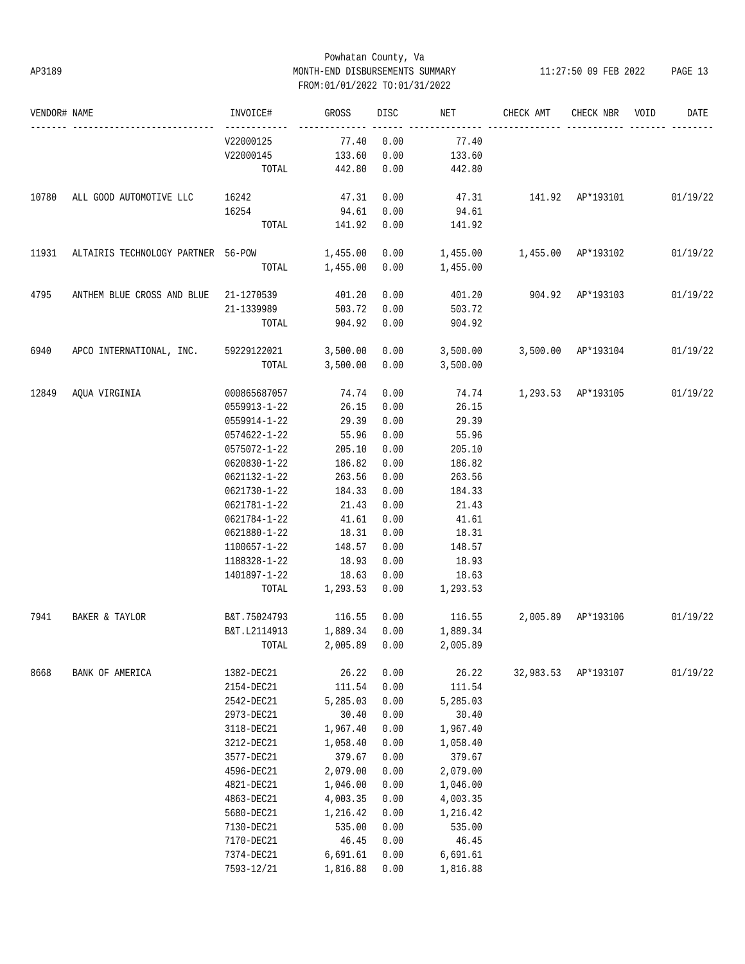# Powhatan County, Va AP3189 MONTH-END DISBURSEMENTS SUMMARY 11:27:50 09 FEB 2022 PAGE 13 FROM:01/01/2022 TO:01/31/2022

| VENDOR# NAME |                                       | INVOICE#           | GROSS          | DISC | NET                                          | CHECK AMT                          | CHECK NBR VOID      | DATE     |
|--------------|---------------------------------------|--------------------|----------------|------|----------------------------------------------|------------------------------------|---------------------|----------|
|              |                                       | V22000125          | 77.40          | 0.00 | 77.40                                        |                                    |                     |          |
|              |                                       | V22000145          | 133.60         | 0.00 | 133.60                                       |                                    |                     |          |
|              |                                       | TOTAL              | 442.80         | 0.00 | 442.80                                       |                                    |                     |          |
| 10780        | ALL GOOD AUTOMOTIVE LLC               | 16242              | 47.31          | 0.00 | 47.31                                        | 141.92 AP*193101 01/19/22          |                     |          |
|              |                                       | 16254              | 94.61          | 0.00 | 94.61                                        |                                    |                     |          |
|              |                                       |                    | TOTAL 141.92   | 0.00 | 141.92                                       |                                    |                     |          |
| 11931        | ALTAIRIS TECHNOLOGY PARTNER 56-POW    |                    | 1,455.00       | 0.00 | $1,455.00$ $1,455.00$ $AP*193102$ $01/19/22$ |                                    |                     |          |
|              |                                       |                    | TOTAL 1,455.00 | 0.00 | 1,455.00                                     |                                    |                     |          |
| 4795         | ANTHEM BLUE CROSS AND BLUE 21-1270539 |                    | 401.20         | 0.00 |                                              | 401.20 904.92 AP*193103 01/19/22   |                     |          |
|              |                                       | 21-1339989         | 503.72         | 0.00 | 503.72                                       |                                    |                     |          |
|              |                                       | TOTAL              | 904.92         | 0.00 | 904.92                                       |                                    |                     |          |
| 6940         | APCO INTERNATIONAL, INC. 59229122021  |                    | 3,500.00       |      | $0.00$ 3,500.00 3,500.00 AP*193104 01/19/22  |                                    |                     |          |
|              |                                       | TOTAL              | 3,500.00       |      | $0.00$ 3,500.00                              |                                    |                     |          |
| 12849        | AQUA VIRGINIA                         | 000865687057 74.74 |                | 0.00 |                                              | 74.74 1,293.53 AP*193105 01/19/22  |                     |          |
|              |                                       | 0559913-1-22       | 26.15          | 0.00 | 26.15                                        |                                    |                     |          |
|              |                                       | 0559914-1-22       | 29.39          | 0.00 | 29.39                                        |                                    |                     |          |
|              |                                       | 0574622-1-22       | 55.96          | 0.00 | 55.96                                        |                                    |                     |          |
|              |                                       | 0575072-1-22       | 205.10         | 0.00 | 205.10                                       |                                    |                     |          |
|              |                                       | 0620830-1-22       | 186.82         | 0.00 | 186.82                                       |                                    |                     |          |
|              |                                       | 0621132-1-22       | 263.56         | 0.00 | 263.56                                       |                                    |                     |          |
|              |                                       | 0621730-1-22       | 184.33         | 0.00 | 184.33                                       |                                    |                     |          |
|              |                                       | 0621781-1-22       | 21.43          | 0.00 | 21.43                                        |                                    |                     |          |
|              |                                       | 0621784-1-22       | 41.61          | 0.00 | 41.61                                        |                                    |                     |          |
|              |                                       | 0621880-1-22       | 18.31          | 0.00 | 18.31                                        |                                    |                     |          |
|              |                                       | 1100657-1-22       | 148.57         | 0.00 | 148.57                                       |                                    |                     |          |
|              |                                       | 1188328-1-22       | 18.93          | 0.00 | 18.93                                        |                                    |                     |          |
|              |                                       | 1401897-1-22       | 18.63          | 0.00 | 18.63                                        |                                    |                     |          |
|              |                                       | TOTAL              | 1,293.53       | 0.00 | 1,293.53                                     |                                    |                     |          |
| 7941         | BAKER & TAYLOR                        | B&T.75024793       | 116.55 0.00    |      |                                              | 116.55 2,005.89 AP*193106 01/19/22 |                     |          |
|              |                                       | B&T.L2114913       | 1,889.34 0.00  |      | 1,889.34                                     |                                    |                     |          |
|              |                                       | TOTAL              | 2,005.89 0.00  |      | 2,005.89                                     |                                    |                     |          |
| 8668         | BANK OF AMERICA                       | 1382-DEC21         | 26.22          | 0.00 | 26.22                                        |                                    | 32,983.53 AP*193107 | 01/19/22 |
|              |                                       | 2154-DEC21         | 111.54         | 0.00 | 111.54                                       |                                    |                     |          |
|              |                                       | 2542-DEC21         | 5,285.03       | 0.00 | 5,285.03                                     |                                    |                     |          |
|              |                                       | 2973-DEC21         | 30.40          | 0.00 | 30.40                                        |                                    |                     |          |
|              |                                       | 3118-DEC21         | 1,967.40       | 0.00 | 1,967.40                                     |                                    |                     |          |
|              |                                       | 3212-DEC21         | 1,058.40       | 0.00 | 1,058.40                                     |                                    |                     |          |
|              |                                       | 3577-DEC21         | 379.67         | 0.00 | 379.67                                       |                                    |                     |          |
|              |                                       | 4596-DEC21         | 2,079.00       | 0.00 | 2,079.00                                     |                                    |                     |          |
|              |                                       | 4821-DEC21         | 1,046.00       | 0.00 | 1,046.00                                     |                                    |                     |          |
|              |                                       | 4863-DEC21         | 4,003.35       | 0.00 | 4,003.35                                     |                                    |                     |          |
|              |                                       | 5680-DEC21         | 1,216.42       | 0.00 | 1,216.42                                     |                                    |                     |          |
|              |                                       | 7130-DEC21         | 535.00         | 0.00 | 535.00                                       |                                    |                     |          |
|              |                                       | 7170-DEC21         | 46.45          | 0.00 | 46.45                                        |                                    |                     |          |
|              |                                       | 7374-DEC21         | 6,691.61       | 0.00 | 6,691.61                                     |                                    |                     |          |
|              |                                       | 7593-12/21         | 1,816.88       | 0.00 | 1,816.88                                     |                                    |                     |          |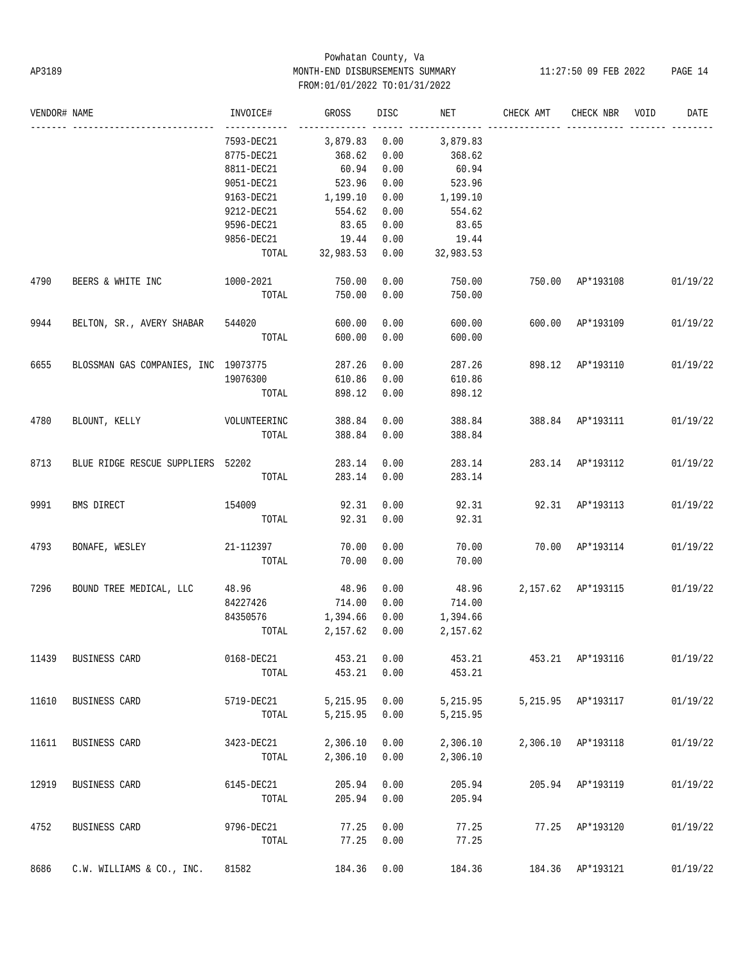# Powhatan County, Va AP3189 MONTH-END DISBURSEMENTS SUMMARY 11:27:50 09 FEB 2022 PAGE 14 FROM:01/01/2022 TO:01/31/2022

| VENDOR# NAME |                                      | INVOICE#          | GROSS           | <b>DISC</b> | NET       | CHECK AMT          | CHECK NBR          | VOID | DATE     |
|--------------|--------------------------------------|-------------------|-----------------|-------------|-----------|--------------------|--------------------|------|----------|
|              |                                      | 7593-DEC21        | 3,879.83        | 0.00        | 3,879.83  |                    |                    |      |          |
|              |                                      | 8775-DEC21        | 368.62          | 0.00        | 368.62    |                    |                    |      |          |
|              |                                      | 8811-DEC21        | 60.94           | 0.00        | 60.94     |                    |                    |      |          |
|              |                                      | 9051-DEC21        | 523.96          | 0.00        | 523.96    |                    |                    |      |          |
|              |                                      | 9163-DEC21        | 1,199.10        | 0.00        | 1,199.10  |                    |                    |      |          |
|              |                                      | 9212-DEC21        | 554.62          | 0.00        | 554.62    |                    |                    |      |          |
|              |                                      | 9596-DEC21        | 83.65           | 0.00        | 83.65     |                    |                    |      |          |
|              |                                      | 9856-DEC21        | 19.44           | 0.00        | 19.44     |                    |                    |      |          |
|              |                                      |                   | TOTAL 32,983.53 | 0.00        | 32,983.53 |                    |                    |      |          |
| 4790         | BEERS & WHITE INC                    | 1000-2021         | 750.00          | 0.00        | 750.00    | 750.00             | AP*193108          |      | 01/19/22 |
|              |                                      | TOTAL             | 750.00          | 0.00        | 750.00    |                    |                    |      |          |
| 9944         | BELTON, SR., AVERY SHABAR 544020     |                   | 600.00          | 0.00        | 600.00    |                    | 600.00 AP*193109   |      | 01/19/22 |
|              |                                      | TOTAL             | 600.00          | 0.00        | 600.00    |                    |                    |      |          |
| 6655         | BLOSSMAN GAS COMPANIES, INC 19073775 |                   | 287.26          | 0.00        | 287.26    |                    | 898.12 AP*193110   |      | 01/19/22 |
|              |                                      | 19076300          | 610.86          | 0.00        | 610.86    |                    |                    |      |          |
|              |                                      | TOTAL             | 898.12          | 0.00        | 898.12    |                    |                    |      |          |
| 4780         | BLOUNT, KELLY                        | VOLUNTEERINC      | 388.84          | 0.00        | 388.84    | 388.84 AP*193111   |                    |      | 01/19/22 |
|              |                                      | TOTAL             | 388.84          | 0.00        | 388.84    |                    |                    |      |          |
| 8713         | BLUE RIDGE RESCUE SUPPLIERS 52202    |                   | 283.14          | 0.00        | 283.14    |                    | 283.14 AP*193112   |      | 01/19/22 |
|              |                                      | TOTAL             | 283.14          | 0.00        | 283.14    |                    |                    |      |          |
| 9991         | BMS DIRECT                           | 154009            | 92.31           | 0.00        | 92.31     |                    | 92.31 AP*193113    |      | 01/19/22 |
|              |                                      | TOTAL             | 92.31           | 0.00        | 92.31     |                    |                    |      |          |
| 4793         | BONAFE, WESLEY                       | 21-112397         | 70.00           | 0.00        | 70.00     |                    | 70.00 AP*193114    |      | 01/19/22 |
|              |                                      | TOTAL             | 70.00           | 0.00        | 70.00     |                    |                    |      |          |
| 7296         | BOUND TREE MEDICAL, LLC 48.96        |                   | 48.96           | 0.00        | 48.96     | 2,157.62 AP*193115 |                    |      | 01/19/22 |
|              |                                      | 84227426 714.00   |                 | 0.00        | 714.00    |                    |                    |      |          |
|              |                                      | 84350576 1,394.66 |                 | 0.00        | 1,394.66  |                    |                    |      |          |
|              |                                      | TOTAL             | 2,157.62        | 0.00        | 2,157.62  |                    |                    |      |          |
| 11439        | BUSINESS CARD                        | 0168-DEC21        | 453.21          | 0.00        | 453.21    |                    | 453.21 AP*193116   |      | 01/19/22 |
|              |                                      | TOTAL             | 453.21          | 0.00        | 453.21    |                    |                    |      |          |
| 11610        | BUSINESS CARD                        | 5719-DEC21        | 5,215.95        | 0.00        | 5,215.95  |                    | 5,215.95 AP*193117 |      | 01/19/22 |
|              |                                      | TOTAL             | 5,215.95        | 0.00        | 5,215.95  |                    |                    |      |          |
| 11611        | BUSINESS CARD                        | 3423-DEC21        | 2,306.10        | 0.00        | 2,306.10  |                    | 2,306.10 AP*193118 |      | 01/19/22 |
|              |                                      | TOTAL             | 2,306.10        | 0.00        | 2,306.10  |                    |                    |      |          |
| 12919        | BUSINESS CARD                        | 6145-DEC21        | 205.94          | 0.00        | 205.94    |                    | 205.94 AP*193119   |      | 01/19/22 |
|              |                                      | TOTAL             | 205.94          | 0.00        | 205.94    |                    |                    |      |          |
| 4752         | BUSINESS CARD                        | 9796-DEC21        | 77.25           | 0.00        | 77.25     |                    | 77.25 AP*193120    |      | 01/19/22 |
|              |                                      | TOTAL             | 77.25           | 0.00        | 77.25     |                    |                    |      |          |
| 8686         | C.W. WILLIAMS & CO., INC.            | 81582             | 184.36 0.00     |             | 184.36    |                    | 184.36 AP*193121   |      | 01/19/22 |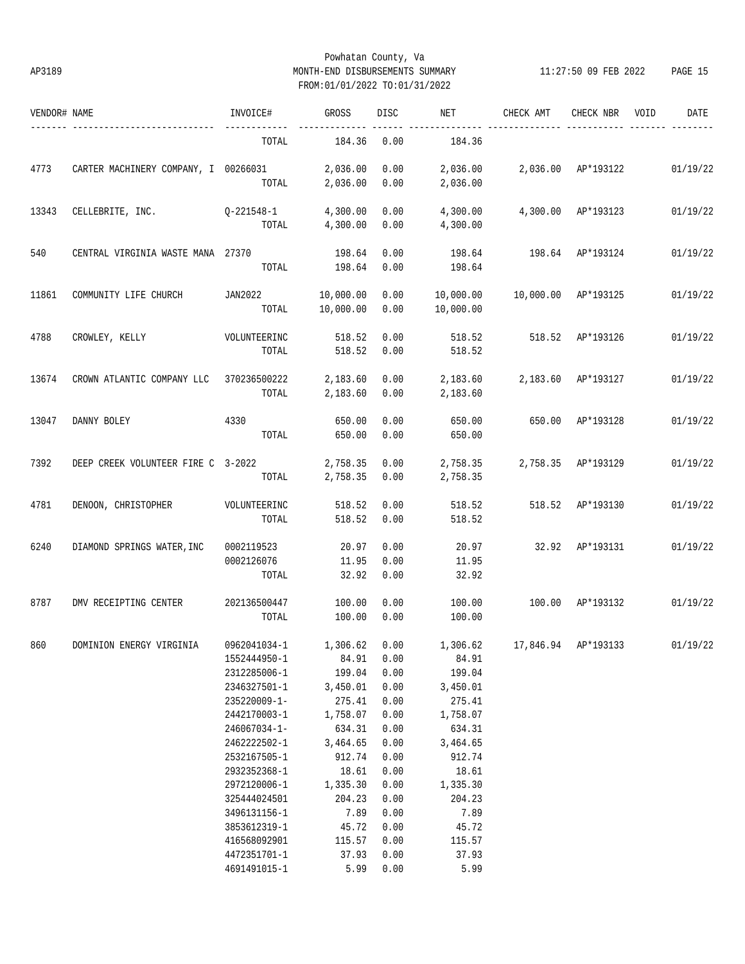# Powhatan County, Va AP3189 MONTH-END DISBURSEMENTS SUMMARY 11:27:50 09 FEB 2022 PAGE 15 FROM:01/01/2022 TO:01/31/2022

| VENDOR# NAME |                                      | INVOICE#                                                                                                                                                                                                                                     | GROSS                                                                                                                                                   | DISC                                                                                                                 | NET                                                                                                                                                     | CHECK AMT           | CHECK NBR           | VOID<br>DATE |
|--------------|--------------------------------------|----------------------------------------------------------------------------------------------------------------------------------------------------------------------------------------------------------------------------------------------|---------------------------------------------------------------------------------------------------------------------------------------------------------|----------------------------------------------------------------------------------------------------------------------|---------------------------------------------------------------------------------------------------------------------------------------------------------|---------------------|---------------------|--------------|
|              |                                      | TOTAL                                                                                                                                                                                                                                        | 184.36                                                                                                                                                  | 0.00                                                                                                                 | 184.36                                                                                                                                                  |                     |                     |              |
| 4773         | CARTER MACHINERY COMPANY, I 00266031 | TOTAL                                                                                                                                                                                                                                        | 2,036.00<br>2,036.00                                                                                                                                    | 0.00<br>0.00                                                                                                         | 2,036.00<br>2,036.00                                                                                                                                    |                     | 2,036.00 AP*193122  | 01/19/22     |
| 13343        | CELLEBRITE, INC.                     | Q-221548-1<br>TOTAL                                                                                                                                                                                                                          | 4,300.00<br>4,300.00                                                                                                                                    | 0.00<br>0.00                                                                                                         | 4,300.00<br>4,300.00                                                                                                                                    |                     | 4,300.00 AP*193123  | 01/19/22     |
| 540          | CENTRAL VIRGINIA WASTE MANA 27370    | TOTAL                                                                                                                                                                                                                                        | 198.64<br>198.64                                                                                                                                        | 0.00<br>0.00                                                                                                         | 198.64<br>198.64                                                                                                                                        |                     | 198.64 AP*193124    | 01/19/22     |
| 11861        | COMMUNITY LIFE CHURCH                | JAN2022<br>TOTAL                                                                                                                                                                                                                             | 10,000.00<br>10,000.00                                                                                                                                  | 0.00<br>0.00                                                                                                         | 10,000.00<br>10,000.00                                                                                                                                  | 10,000.00 AP*193125 |                     | 01/19/22     |
| 4788         | CROWLEY, KELLY                       | VOLUNTEERINC<br>TOTAL                                                                                                                                                                                                                        | 518.52<br>518.52                                                                                                                                        | 0.00<br>0.00                                                                                                         | 518.52<br>518.52                                                                                                                                        | 518.52              | AP*193126           | 01/19/22     |
| 13674        | CROWN ATLANTIC COMPANY LLC           | 370236500222<br>TOTAL                                                                                                                                                                                                                        | 2,183.60<br>2,183.60                                                                                                                                    | 0.00<br>0.00                                                                                                         | 2,183.60<br>2,183.60                                                                                                                                    |                     | 2,183.60 AP*193127  | 01/19/22     |
| 13047        | DANNY BOLEY                          | 4330<br>TOTAL                                                                                                                                                                                                                                | 650.00<br>650.00                                                                                                                                        | 0.00<br>0.00                                                                                                         | 650.00<br>650.00                                                                                                                                        | 650.00              | AP*193128           | 01/19/22     |
| 7392         | DEEP CREEK VOLUNTEER FIRE C 3-2022   | TOTAL                                                                                                                                                                                                                                        | 2,758.35<br>2,758.35                                                                                                                                    | 0.00<br>0.00                                                                                                         | 2,758.35<br>2,758.35                                                                                                                                    |                     | 2,758.35 AP*193129  | 01/19/22     |
| 4781         | DENOON, CHRISTOPHER                  | VOLUNTEERINC<br>TOTAL                                                                                                                                                                                                                        | 518.52<br>518.52                                                                                                                                        | 0.00<br>0.00                                                                                                         | 518.52<br>518.52                                                                                                                                        | 518.52              | AP*193130           | 01/19/22     |
| 6240         | DIAMOND SPRINGS WATER, INC           | 0002119523<br>0002126076<br>TOTAL                                                                                                                                                                                                            | 20.97<br>11.95<br>32.92                                                                                                                                 | 0.00<br>0.00<br>0.00                                                                                                 | 20.97<br>11.95<br>32.92                                                                                                                                 | 32.92               | AP*193131           | 01/19/22     |
| 8787         | DMV RECEIPTING CENTER                | 202136500447<br>TOTAL                                                                                                                                                                                                                        | 100.00<br>100.00                                                                                                                                        | 0.00<br>0.00                                                                                                         | 100.00<br>100.00                                                                                                                                        | 100.00              | AP*193132           | 01/19/22     |
| 860          | DOMINION ENERGY VIRGINIA             | 0962041034-1<br>1552444950-1<br>2312285006-1<br>2346327501-1<br>235220009-1-<br>2442170003-1<br>246067034-1-<br>2462222502-1<br>2532167505-1<br>2932352368-1<br>2972120006-1<br>325444024501<br>3496131156-1<br>3853612319-1<br>416568092901 | 1,306.62<br>84.91<br>199.04<br>3,450.01<br>275.41<br>1,758.07<br>634.31<br>3,464.65<br>912.74<br>18.61<br>1,335.30<br>204.23<br>7.89<br>45.72<br>115.57 | 0.00<br>0.00<br>0.00<br>0.00<br>0.00<br>0.00<br>0.00<br>0.00<br>0.00<br>0.00<br>0.00<br>0.00<br>0.00<br>0.00<br>0.00 | 1,306.62<br>84.91<br>199.04<br>3,450.01<br>275.41<br>1,758.07<br>634.31<br>3,464.65<br>912.74<br>18.61<br>1,335.30<br>204.23<br>7.89<br>45.72<br>115.57 |                     | 17,846.94 AP*193133 | 01/19/22     |
|              |                                      | 4472351701-1<br>4691491015-1                                                                                                                                                                                                                 | 37.93<br>5.99                                                                                                                                           | 0.00<br>0.00                                                                                                         | 37.93<br>5.99                                                                                                                                           |                     |                     |              |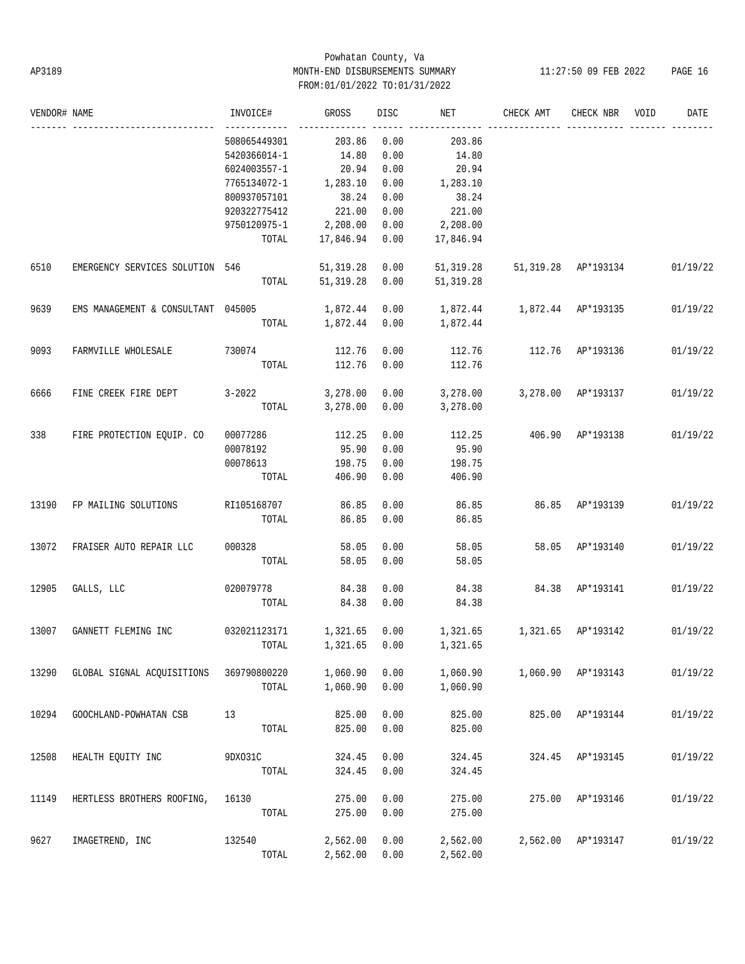# Powhatan County, Va AP3189 MONTH-END DISBURSEMENTS SUMMARY 11:27:50 09 FEB 2022 PAGE 16 FROM:01/01/2022 TO:01/31/2022

| VENDOR# NAME |                                    | INVOICE#              | GROSS               | DISC | NET                             | CHECK AMT           | CHECK NBR          | VOID | DATE     |
|--------------|------------------------------------|-----------------------|---------------------|------|---------------------------------|---------------------|--------------------|------|----------|
|              |                                    | 508065449301          | 203.86              | 0.00 | 203.86                          |                     |                    |      |          |
|              |                                    | 5420366014-1          | 14.80               | 0.00 | 14.80                           |                     |                    |      |          |
|              |                                    | 6024003557-1          | 20.94               | 0.00 | 20.94                           |                     |                    |      |          |
|              |                                    | 7765134072-1          | 1,283.10            | 0.00 | 1,283.10                        |                     |                    |      |          |
|              |                                    | 800937057101          | 38.24               | 0.00 | 38.24                           |                     |                    |      |          |
|              |                                    | 920322775412          | 221.00              | 0.00 | 221.00                          |                     |                    |      |          |
|              |                                    | 9750120975-1 2,208.00 |                     | 0.00 | 2,208.00                        |                     |                    |      |          |
|              |                                    | TOTAL                 | 17,846.94           | 0.00 | 17,846.94                       |                     |                    |      |          |
| 6510         | EMERGENCY SERVICES SOLUTION 546    |                       | 51, 319.28          | 0.00 | 51,319.28                       | 51,319.28 AP*193134 |                    |      | 01/19/22 |
|              |                                    | TOTAL                 | 51, 319.28          | 0.00 | 51,319.28                       |                     |                    |      |          |
| 9639         | EMS MANAGEMENT & CONSULTANT 045005 |                       | 1,872.44            | 0.00 | 1,872.44   1,872.44   AP*193135 |                     |                    |      | 01/19/22 |
|              |                                    |                       | TOTAL 1,872.44 0.00 |      | 1,872.44                        |                     |                    |      |          |
| 9093         | FARMVILLE WHOLESALE                | 730074                | 112.76              | 0.00 | 112.76                          | 112.76 AP*193136    |                    |      | 01/19/22 |
|              |                                    | TOTAL                 | 112.76              | 0.00 | 112.76                          |                     |                    |      |          |
| 6666         | FINE CREEK FIRE DEPT               | $3 - 2022$            | 3,278.00            | 0.00 | 3,278.00                        |                     | 3,278.00 AP*193137 |      | 01/19/22 |
|              |                                    | TOTAL                 | 3,278.00            | 0.00 | 3,278.00                        |                     |                    |      |          |
| 338          | FIRE PROTECTION EQUIP. CO          | 00077286              | 112.25              | 0.00 | 112.25                          | 406.90 AP*193138    |                    |      | 01/19/22 |
|              |                                    | 00078192              | 95.90               | 0.00 | 95.90                           |                     |                    |      |          |
|              |                                    | 00078613              | 198.75              | 0.00 | 198.75                          |                     |                    |      |          |
|              |                                    | TOTAL                 | 406.90              | 0.00 | 406.90                          |                     |                    |      |          |
| 13190        | FP MAILING SOLUTIONS               | RI105168707           | 86.85               | 0.00 | 86.85                           | 86.85 AP*193139     |                    |      | 01/19/22 |
|              |                                    | TOTAL                 | 86.85               | 0.00 | 86.85                           |                     |                    |      |          |
| 13072        | FRAISER AUTO REPAIR LLC            | 000328                | 58.05               | 0.00 | 58.05                           |                     | 58.05 AP*193140    |      | 01/19/22 |
|              |                                    | TOTAL                 | 58.05               | 0.00 | 58.05                           |                     |                    |      |          |
| 12905        | GALLS, LLC                         | 020079778             | 84.38               | 0.00 | 84.38                           | 84.38 AP*193141     |                    |      | 01/19/22 |
|              |                                    | TOTAL                 | 84.38               | 0.00 | 84.38                           |                     |                    |      |          |
| 13007        | GANNETT FLEMING INC                | 032021123171 1,321.65 |                     | 0.00 |                                 |                     |                    |      | 01/19/22 |
|              |                                    |                       |                     |      | TOTAL 1,321.65 0.00 1,321.65    |                     |                    |      |          |
| 13290        | GLOBAL SIGNAL ACQUISITIONS         | 369790800220          | 1,060.90            | 0.00 | 1,060.90                        |                     | 1,060.90 AP*193143 |      | 01/19/22 |
|              |                                    | TOTAL                 | 1,060.90            | 0.00 | 1,060.90                        |                     |                    |      |          |
| 10294        | GOOCHLAND-POWHATAN CSB             | 13                    | 825.00              | 0.00 | 825.00                          |                     | 825.00 AP*193144   |      | 01/19/22 |
|              |                                    | TOTAL                 | 825.00              | 0.00 | 825.00                          |                     |                    |      |          |
| 12508        | HEALTH EOUITY INC                  | 9DX031C               | 324.45              | 0.00 | 324.45                          |                     | 324.45 AP*193145   |      | 01/19/22 |
|              |                                    | TOTAL                 | 324.45              | 0.00 | 324.45                          |                     |                    |      |          |
| 11149        | HERTLESS BROTHERS ROOFING,         | 16130                 | 275.00              | 0.00 | 275.00                          |                     | 275.00 AP*193146   |      | 01/19/22 |
|              |                                    | TOTAL                 | 275.00              | 0.00 | 275.00                          |                     |                    |      |          |
| 9627         | IMAGETREND, INC                    | 132540                | 2,562.00            | 0.00 | 2,562.00                        |                     | 2,562.00 AP*193147 |      | 01/19/22 |
|              |                                    | TOTAL                 | 2,562.00            | 0.00 | 2,562.00                        |                     |                    |      |          |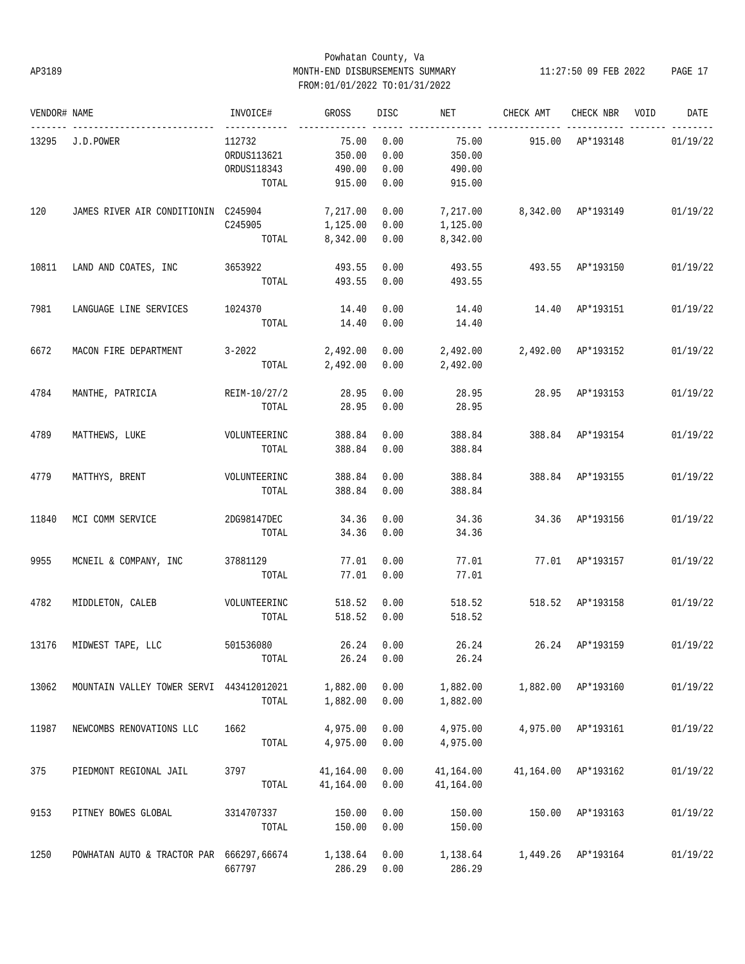# Powhatan County, Va AP3189 MONTH-END DISBURSEMENTS SUMMARY 11:27:50 09 FEB 2022 PAGE 17 FROM:01/01/2022 TO:01/31/2022

| VENDOR# NAME |                                          | INVOICE#                              | GROSS                  | DISC               | NET                    | CHECK AMT                   | CHECK NBR           | VOID | DATE     |
|--------------|------------------------------------------|---------------------------------------|------------------------|--------------------|------------------------|-----------------------------|---------------------|------|----------|
| 13295        | J.D.POWER                                | ------------<br>112732<br>ORDUS113621 | 75.00<br>350.00        | 0.00<br>0.00       | 75.00<br>350.00        | 915.00                      | AP*193148           |      | 01/19/22 |
|              |                                          | ORDUS118343<br>TOTAL                  | 490.00<br>915.00       | 0.00<br>0.00       | 490.00<br>915.00       |                             |                     |      |          |
| 120          | JAMES RIVER AIR CONDITIONIN C245904      | C245905                               | 7,217.00<br>1,125.00   | 0.00<br>0.00       | 7,217.00<br>1,125.00   | 8,342.00 AP*193149 01/19/22 |                     |      |          |
|              |                                          | TOTAL                                 | 8,342.00               | 0.00               | 8,342.00               |                             |                     |      |          |
| 10811        | LAND AND COATES, INC                     | 3653922<br>TOTAL                      | 493.55<br>493.55       | 0.00<br>0.00       | 493.55<br>493.55       |                             | 493.55 AP*193150    |      | 01/19/22 |
| 7981         | LANGUAGE LINE SERVICES                   | 1024370<br>TOTAL                      | 14.40<br>14.40         | 0.00<br>0.00       | 14.40<br>14.40         | 14.40                       | AP*193151           |      | 01/19/22 |
| 6672         | MACON FIRE DEPARTMENT                    | $3 - 2022$<br>TOTAL                   | 2,492.00<br>2,492.00   | 0.00<br>0.00       | 2,492.00<br>2,492.00   | 2,492.00 AP*193152          |                     |      | 01/19/22 |
| 4784         | MANTHE, PATRICIA                         | REIM-10/27/2<br>TOTAL                 | 28.95<br>28.95         | 0.00<br>0.00       | 28.95<br>28.95         |                             | 28.95 AP*193153     |      | 01/19/22 |
| 4789         | MATTHEWS, LUKE                           | VOLUNTEERINC<br>TOTAL                 | 388.84<br>388.84       | 0.00<br>0.00       | 388.84<br>388.84       |                             | 388.84 AP*193154    |      | 01/19/22 |
| 4779         | MATTHYS, BRENT                           | VOLUNTEERINC<br>TOTAL                 | 388.84<br>388.84       | 0.00<br>0.00       | 388.84<br>388.84       |                             | 388.84 AP*193155    |      | 01/19/22 |
| 11840        | MCI COMM SERVICE                         | 2DG98147DEC<br>TOTAL                  | 34.36<br>34.36         | 0.00<br>0.00       | 34.36<br>34.36         |                             | 34.36 AP*193156     |      | 01/19/22 |
| 9955         | MCNEIL & COMPANY, INC                    | 37881129<br>TOTAL                     | 77.01<br>77.01         | 0.00<br>0.00       | 77.01<br>77.01         |                             | 77.01 AP*193157     |      | 01/19/22 |
| 4782         | MIDDLETON, CALEB                         | VOLUNTEERINC<br>TOTAL                 | 518.52<br>518.52       | 0.00<br>0.00       | 518.52<br>518.52       |                             | 518.52 AP*193158    |      | 01/19/22 |
|              | 13176 MIDWEST TAPE, LLC                  | 501536080<br>TOTAL                    | 26.24                  | 26.24 0.00<br>0.00 | 26.24<br>26.24         | 26.24 AP*193159 01/19/22    |                     |      |          |
| 13062        | MOUNTAIN VALLEY TOWER SERVI 443412012021 | TOTAL                                 | 1,882.00<br>1,882.00   | 0.00<br>0.00       | 1,882.00<br>1,882.00   |                             | 1,882.00 AP*193160  |      | 01/19/22 |
| 11987        | NEWCOMBS RENOVATIONS LLC                 | 1662<br>TOTAL                         | 4,975.00<br>4,975.00   | 0.00<br>0.00       | 4,975.00<br>4,975.00   |                             | 4,975.00 AP*193161  |      | 01/19/22 |
| 375          | PIEDMONT REGIONAL JAIL                   | 3797<br>TOTAL                         | 41,164.00<br>41,164.00 | 0.00<br>0.00       | 41,164.00<br>41,164.00 |                             | 41,164.00 AP*193162 |      | 01/19/22 |
| 9153         | PITNEY BOWES GLOBAL                      | 3314707337<br>TOTAL                   | 150.00<br>150.00       | 0.00<br>0.00       | 150.00<br>150.00       | 150.00                      | AP*193163           |      | 01/19/22 |
| 1250         | POWHATAN AUTO & TRACTOR PAR 666297,66674 | 667797                                | 1,138.64<br>286.29     | 0.00<br>0.00       | 1,138.64<br>286.29     |                             | 1,449.26 AP*193164  |      | 01/19/22 |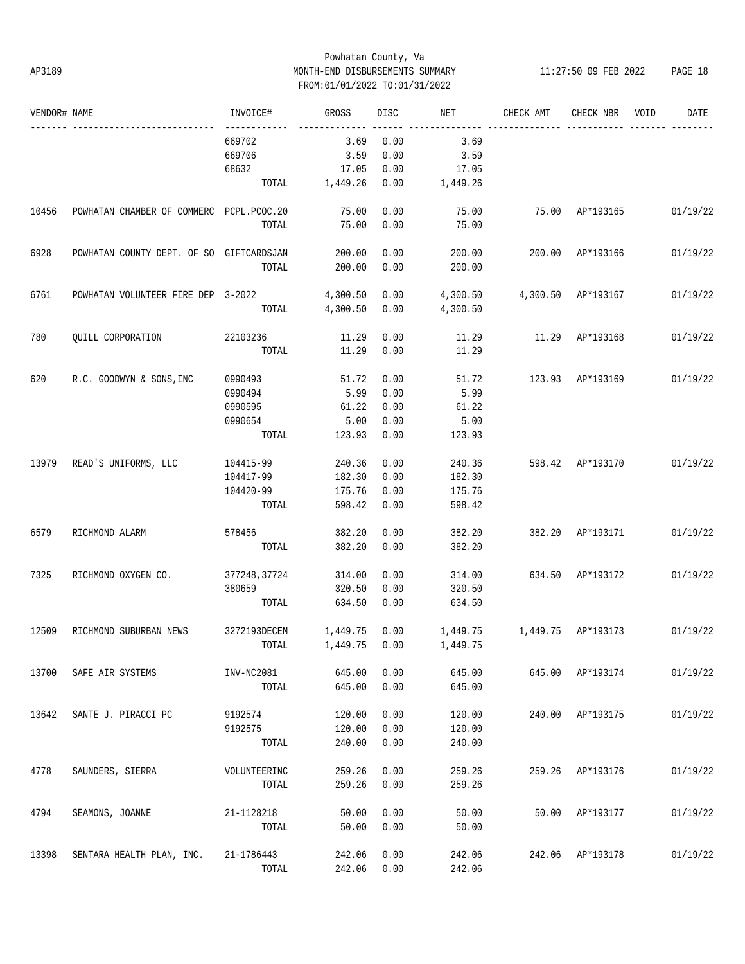# Powhatan County, Va AP3189 MONTH-END DISBURSEMENTS SUMMARY 11:27:50 09 FEB 2022 PAGE 18 FROM:01/01/2022 TO:01/31/2022

| VENDOR# NAME |                                            | INVOICE#     | GROSS          | DISC | NET                                        | CHECK AMT                     | CHECK NBR        | VOID | DATE     |
|--------------|--------------------------------------------|--------------|----------------|------|--------------------------------------------|-------------------------------|------------------|------|----------|
|              |                                            | 669702       | 3.69           | 0.00 | 3.69                                       |                               |                  |      |          |
|              |                                            | 669706       | 3.59           | 0.00 | 3.59                                       |                               |                  |      |          |
|              |                                            | 68632        | 17.05          | 0.00 | 17.05                                      |                               |                  |      |          |
|              |                                            |              | TOTAL 1,449.26 | 0.00 | 1,449.26                                   |                               |                  |      |          |
| 10456        | POWHATAN CHAMBER OF COMMERC PCPL. PCOC. 20 |              | 75.00          | 0.00 | 75.00                                      |                               | 75.00 AP*193165  |      | 01/19/22 |
|              |                                            | TOTAL        | 75.00          | 0.00 | 75.00                                      |                               |                  |      |          |
| 6928         | POWHATAN COUNTY DEPT. OF SO GIFTCARDSJAN   |              | 200.00         | 0.00 | 200.00                                     | 200.00 AP*193166              |                  |      | 01/19/22 |
|              |                                            | TOTAL        | 200.00         | 0.00 | 200.00                                     |                               |                  |      |          |
| 6761         | POWHATAN VOLUNTEER FIRE DEP 3-2022         |              | 4,300.50       | 0.00 |                                            | 4,300.50  4,300.50  AP*193167 |                  |      | 01/19/22 |
|              |                                            | TOTAL        | 4,300.50       | 0.00 | 4,300.50                                   |                               |                  |      |          |
| 780          | QUILL CORPORATION                          | 22103236     | 11.29          | 0.00 | 11.29                                      | 11.29 AP*193168               |                  |      | 01/19/22 |
|              |                                            | TOTAL        | 11.29          | 0.00 | 11.29                                      |                               |                  |      |          |
| 620          | R.C. GOODWYN & SONS, INC                   | 0990493      | 51.72          | 0.00 | 51.72                                      |                               | 123.93 AP*193169 |      | 01/19/22 |
|              |                                            | 0990494      | 5.99           | 0.00 | 5.99                                       |                               |                  |      |          |
|              |                                            | 0990595      | 61.22          | 0.00 | 61.22                                      |                               |                  |      |          |
|              |                                            | 0990654      | 5.00           | 0.00 | 5.00                                       |                               |                  |      |          |
|              |                                            | TOTAL        | 123.93         | 0.00 | 123.93                                     |                               |                  |      |          |
|              | 13979 READ'S UNIFORMS, LLC                 | 104415-99    | 240.36         | 0.00 | 240.36                                     | 598.42 AP*193170              |                  |      | 01/19/22 |
|              |                                            | 104417-99    | 182.30         | 0.00 | 182.30                                     |                               |                  |      |          |
|              |                                            | 104420-99    | 175.76         | 0.00 | 175.76                                     |                               |                  |      |          |
|              |                                            | TOTAL        | 598.42         | 0.00 | 598.42                                     |                               |                  |      |          |
| 6579         | RICHMOND ALARM                             | 578456       | 382.20         | 0.00 | 382.20                                     |                               | 382.20 AP*193171 |      | 01/19/22 |
|              |                                            | TOTAL        | 382.20         | 0.00 | 382.20                                     |                               |                  |      |          |
| 7325         | RICHMOND OXYGEN CO.                        | 377248,37724 | 314.00         | 0.00 | 314.00                                     |                               | 634.50 AP*193172 |      | 01/19/22 |
|              |                                            | 380659       | 320.50         | 0.00 | 320.50                                     |                               |                  |      |          |
|              |                                            | TOTAL        | 634.50         | 0.00 | 634.50                                     |                               |                  |      |          |
| 12509        | RICHMOND SUBURBAN NEWS                     | 3272193DECEM | 1,449.75       | 0.00 | 1,449.75   1,449.75   AP*193173   01/19/22 |                               |                  |      |          |
|              |                                            |              |                |      | TOTAL 1,449.75 0.00 1,449.75               |                               |                  |      |          |
| 13700        | SAFE AIR SYSTEMS                           | INV-NC2081   | 645.00         | 0.00 | 645.00                                     |                               | 645.00 AP*193174 |      | 01/19/22 |
|              |                                            | TOTAL        | 645.00         | 0.00 | 645.00                                     |                               |                  |      |          |
| 13642        | SANTE J. PIRACCI PC                        | 9192574      | 120.00         | 0.00 | 120.00                                     |                               | 240.00 AP*193175 |      | 01/19/22 |
|              |                                            | 9192575      | 120.00         | 0.00 | 120.00                                     |                               |                  |      |          |
|              |                                            | TOTAL        | 240.00         | 0.00 | 240.00                                     |                               |                  |      |          |
| 4778         | SAUNDERS, SIERRA                           | VOLUNTEERINC | 259.26         | 0.00 | 259.26                                     |                               | 259.26 AP*193176 |      | 01/19/22 |
|              |                                            | TOTAL        | 259.26         | 0.00 | 259.26                                     |                               |                  |      |          |
| 4794         | SEAMONS, JOANNE                            | 21-1128218   | 50.00          | 0.00 | 50.00                                      |                               | 50.00 AP*193177  |      | 01/19/22 |
|              |                                            | TOTAL        | 50.00          | 0.00 | 50.00                                      |                               |                  |      |          |
| 13398        | SENTARA HEALTH PLAN, INC.                  | 21-1786443   | 242.06         | 0.00 | 242.06                                     |                               | 242.06 AP*193178 |      | 01/19/22 |
|              |                                            | TOTAL        | 242.06         | 0.00 | 242.06                                     |                               |                  |      |          |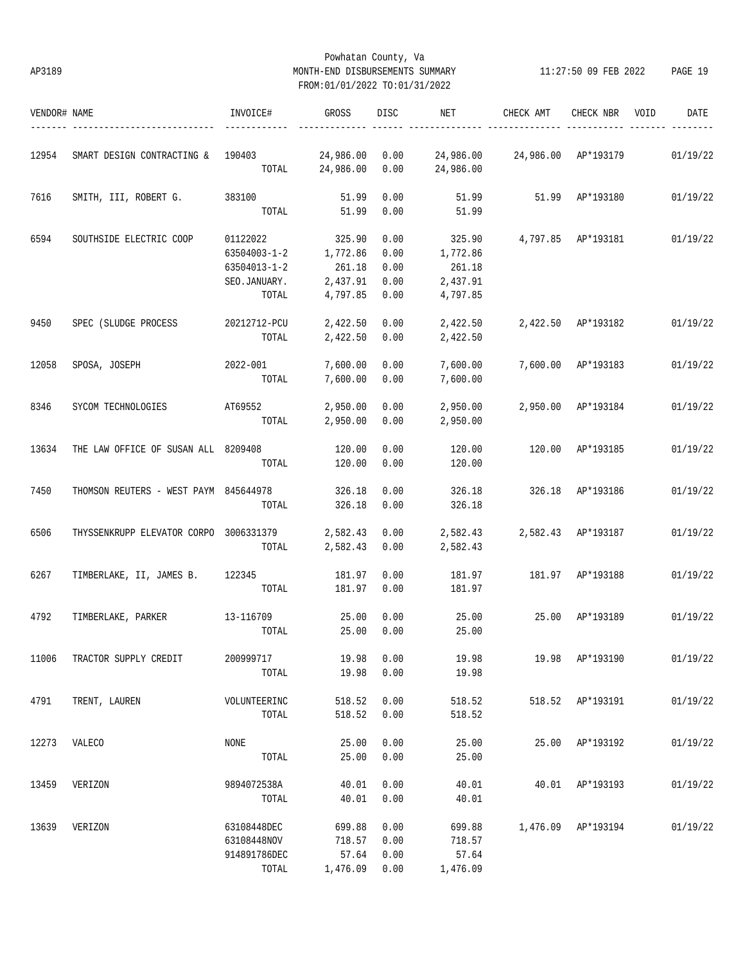# Powhatan County, Va AP3189 MONTH-END DISBURSEMENTS SUMMARY 11:27:50 09 FEB 2022 PAGE 19 FROM:01/01/2022 TO:01/31/2022

| VENDOR# NAME |                                             | INVOICE#     | GROSS           | DISC | NET       | CHECK AMT                   | CHECK NBR          | VOID | DATE     |
|--------------|---------------------------------------------|--------------|-----------------|------|-----------|-----------------------------|--------------------|------|----------|
| 12954        | SMART DESIGN CONTRACTING & 190403 24,986.00 |              |                 | 0.00 |           |                             |                    |      | 01/19/22 |
|              |                                             |              | TOTAL 24,986.00 | 0.00 | 24,986.00 |                             |                    |      |          |
| 7616         | SMITH, III, ROBERT G.                       | 383100       | 51.99           | 0.00 | 51.99     |                             | 51.99 AP*193180    |      | 01/19/22 |
|              |                                             | TOTAL        | 51.99           | 0.00 | 51.99     |                             |                    |      |          |
| 6594         | SOUTHSIDE ELECTRIC COOP                     | 01122022     | 325.90          | 0.00 | 325.90    |                             | 4,797.85 AP*193181 |      | 01/19/22 |
|              |                                             | 63504003-1-2 | 1,772.86        | 0.00 | 1,772.86  |                             |                    |      |          |
|              |                                             | 63504013-1-2 | 261.18          | 0.00 | 261.18    |                             |                    |      |          |
|              |                                             | SEO.JANUARY. | 2,437.91        | 0.00 | 2,437.91  |                             |                    |      |          |
|              |                                             | TOTAL        | 4,797.85        | 0.00 | 4,797.85  |                             |                    |      |          |
| 9450         | SPEC (SLUDGE PROCESS                        | 20212712-PCU | 2,422.50        | 0.00 | 2,422.50  |                             | 2,422.50 AP*193182 |      | 01/19/22 |
|              |                                             | TOTAL        | 2,422.50        | 0.00 | 2,422.50  |                             |                    |      |          |
| 12058        | SPOSA, JOSEPH                               | 2022-001     | 7,600.00        | 0.00 | 7,600.00  |                             | 7,600.00 AP*193183 |      | 01/19/22 |
|              |                                             | TOTAL        | 7,600.00        | 0.00 | 7,600.00  |                             |                    |      |          |
| 8346         | SYCOM TECHNOLOGIES                          | AT69552      | 2,950.00        | 0.00 | 2,950.00  | 2,950.00 AP*193184          |                    |      | 01/19/22 |
|              |                                             | TOTAL        | 2,950.00        | 0.00 | 2,950.00  |                             |                    |      |          |
| 13634        | THE LAW OFFICE OF SUSAN ALL 8209408         |              | 120.00          | 0.00 | 120.00    |                             | 120.00 AP*193185   |      | 01/19/22 |
|              |                                             | TOTAL        | 120.00          | 0.00 | 120.00    |                             |                    |      |          |
| 7450         | THOMSON REUTERS - WEST PAYM 845644978       |              | 326.18          | 0.00 | 326.18    |                             | 326.18 AP*193186   |      | 01/19/22 |
|              |                                             | TOTAL        | 326.18          | 0.00 | 326.18    |                             |                    |      |          |
| 6506         | THYSSENKRUPP ELEVATOR CORPO 3006331379      |              | 2,582.43        | 0.00 |           | 2,582.43 2,582.43 AP*193187 |                    |      | 01/19/22 |
|              |                                             | TOTAL        | 2,582.43        | 0.00 | 2,582.43  |                             |                    |      |          |
| 6267         | TIMBERLAKE, II, JAMES B. 122345 181.97      |              |                 | 0.00 | 181.97    | 181.97 AP*193188            |                    |      | 01/19/22 |
|              |                                             | TOTAL        | 181.97          | 0.00 | 181.97    |                             |                    |      |          |
| 4792         | TIMBERLAKE, PARKER 13-116709                |              | 25.00           | 0.00 | 25.00     |                             | 25.00 AP*193189    |      | 01/19/22 |
|              |                                             | TOTAL        | 25.00           | 0.00 | 25.00     |                             |                    |      |          |
| 11006        | TRACTOR SUPPLY CREDIT                       | 200999717    | 19.98           | 0.00 | 19.98     |                             | 19.98 AP*193190    |      | 01/19/22 |
|              |                                             | TOTAL        | 19.98           | 0.00 | 19.98     |                             |                    |      |          |
| 4791         | TRENT, LAUREN                               | VOLUNTEERINC | 518.52          | 0.00 | 518.52    |                             | 518.52 AP*193191   |      | 01/19/22 |
|              |                                             | TOTAL        | 518.52          | 0.00 | 518.52    |                             |                    |      |          |
| 12273        | VALECO                                      | NONE         | 25.00           | 0.00 | 25.00     |                             | 25.00 AP*193192    |      | 01/19/22 |
|              |                                             | TOTAL        | 25.00           | 0.00 | 25.00     |                             |                    |      |          |
| 13459        | VERIZON                                     | 9894072538A  | 40.01           | 0.00 | 40.01     |                             | 40.01 AP*193193    |      | 01/19/22 |
|              |                                             | TOTAL        | 40.01           | 0.00 | 40.01     |                             |                    |      |          |
| 13639        | VERIZON                                     | 63108448DEC  | 699.88          | 0.00 | 699.88    |                             | 1,476.09 AP*193194 |      | 01/19/22 |
|              |                                             | 63108448NOV  | 718.57          | 0.00 | 718.57    |                             |                    |      |          |
|              |                                             | 914891786DEC | 57.64           | 0.00 | 57.64     |                             |                    |      |          |
|              |                                             | TOTAL        | 1,476.09 0.00   |      | 1,476.09  |                             |                    |      |          |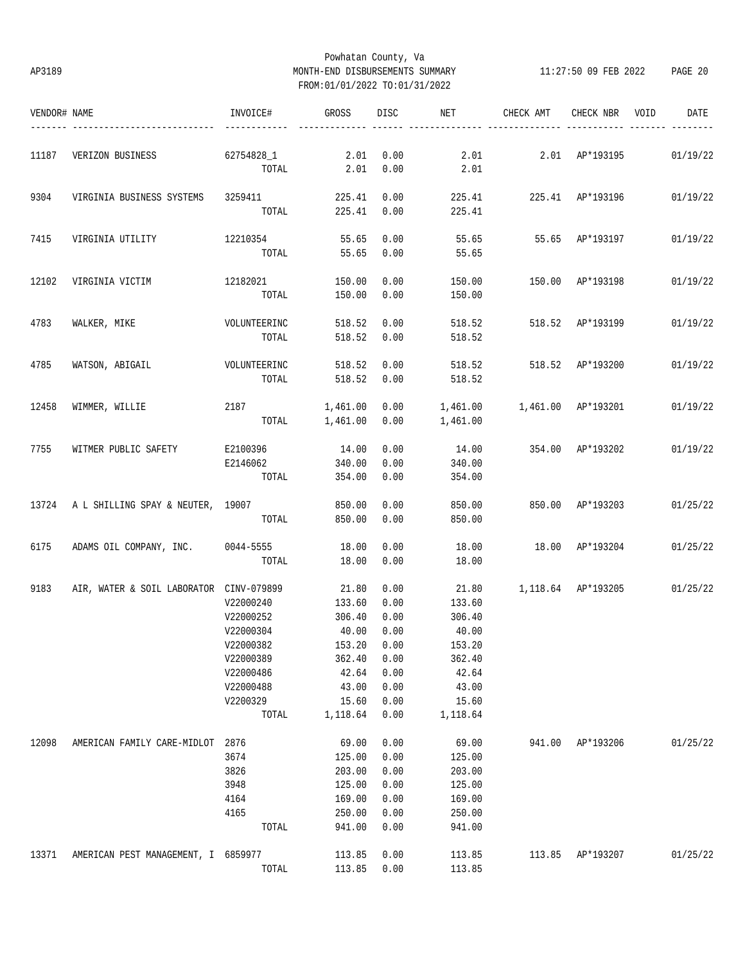# Powhatan County, Va AP3189 MONTH-END DISBURSEMENTS SUMMARY 11:27:50 09 FEB 2022 PAGE 20 FROM:01/01/2022 TO:01/31/2022

| VENDOR# NAME | ----------------------- ------------          | INVOICE#          | GROSS             |              | DISC NET                        | CHECK AMT                               | CHECK NBR VOID          | DATE     |
|--------------|-----------------------------------------------|-------------------|-------------------|--------------|---------------------------------|-----------------------------------------|-------------------------|----------|
| 11187        | VERIZON BUSINESS 62754828_1 2.01              |                   |                   | 0.00         | 2.01                            |                                         | 2.01 AP*193195 01/19/22 |          |
|              |                                               |                   | TOTAL 2.01 0.00   |              | 2.01                            |                                         |                         |          |
| 9304         | VIRGINIA BUSINESS SYSTEMS 3259411 225.41 0.00 |                   |                   |              |                                 | 225.41  225.41  AP*193196  01/19/22     |                         |          |
|              |                                               |                   | TOTAL 225.41 0.00 |              | 225.41                          |                                         |                         |          |
| 7415         | VIRGINIA UTILITY                              | 12210354          | 55.65             | 0.00         |                                 | 55.65 55.65 AP*193197                   |                         | 01/19/22 |
|              |                                               | TOTAL             |                   | 55.65 0.00   | 55.65                           |                                         |                         |          |
| 12102        | VIRGINIA VICTIM                               | 12182021 150.00   |                   | 0.00         | 150.00                          | 150.00 AP*193198                        |                         | 01/19/22 |
|              |                                               | TOTAL             | 150.00            | 0.00         | 150.00                          |                                         |                         |          |
| 4783         | WALKER, MIKE                                  | VOLUNTEERINC      | 518.52            | 0.00         |                                 | 518.52 518.52 AP*193199                 |                         | 01/19/22 |
|              |                                               | TOTAL             | 518.52            | 0.00         | 518.52                          |                                         |                         |          |
| 4785         | WATSON, ABIGAIL                               | VOLUNTEERINC      | 518.52            | 0.00         |                                 | 518.52 518.52 AP*193200                 |                         | 01/19/22 |
|              |                                               | TOTAL             | 518.52 0.00       |              | 518.52                          |                                         |                         |          |
| 12458        | WIMMER, WILLIE                                | 2187              | 1,461.00 0.00     |              | 1,461.00   1,461.00   AP*193201 |                                         |                         | 01/19/22 |
|              |                                               | TOTAL             | 1,461.00 0.00     |              | 1,461.00                        |                                         |                         |          |
| 7755         | WITMER PUBLIC SAFETY E2100396 14.00           |                   |                   | 0.00         | 14.00                           | 354.00 AP*193202                        |                         | 01/19/22 |
|              |                                               | E2146062 340.00   |                   | 0.00         | 340.00                          |                                         |                         |          |
|              |                                               | TOTAL             | 354.00            | 0.00         | 354.00                          |                                         |                         |          |
|              | 13724 A L SHILLING SPAY & NEUTER, 19007       |                   | 850.00            | 0.00         | 850.00                          | 850.00 AP*193203                        |                         | 01/25/22 |
|              |                                               | TOTAL             | 850.00            | 0.00         | 850.00                          |                                         |                         |          |
| 6175         | ADAMS OIL COMPANY, INC. 0044-5555             |                   | 18.00             | 0.00         | 18.00                           | 18.00 AP*193204                         |                         | 01/25/22 |
|              |                                               | TOTAL             | 18.00             | 0.00         | 18.00                           |                                         |                         |          |
| 9183         | AIR, WATER & SOIL LABORATOR CINV-079899 21.80 |                   |                   | 0.00         |                                 | 21.80   1,118.64   AP*193205   01/25/22 |                         |          |
|              |                                               | V22000240         | 133.60            | 0.00         | 133.60                          |                                         |                         |          |
|              |                                               | V22000252         | 306.40            | 0.00         | 306.40                          |                                         |                         |          |
|              |                                               | V22000304         | 40.00             | 0.00         | 40.00                           |                                         |                         |          |
|              |                                               | V22000382         | $153.20$ 0.00     |              | 153.20                          |                                         |                         |          |
|              |                                               | V22000389         | 362.40            | 0.00         | 362.40                          |                                         |                         |          |
|              |                                               | V22000486         | 42.64             | 0.00         | 42.64                           |                                         |                         |          |
|              |                                               | V22000488         | 43.00             | 0.00         | 43.00                           |                                         |                         |          |
|              |                                               | V2200329<br>TOTAL | 15.60<br>1,118.64 | 0.00<br>0.00 | 15.60<br>1,118.64               |                                         |                         |          |
|              |                                               |                   |                   |              |                                 |                                         |                         |          |
| 12098        | AMERICAN FAMILY CARE-MIDLOT                   | 2876              | 69.00             | 0.00         | 69.00                           |                                         | 941.00 AP*193206        | 01/25/22 |
|              |                                               | 3674              | 125.00            | 0.00         | 125.00                          |                                         |                         |          |
|              |                                               | 3826              | 203.00            | 0.00         | 203.00                          |                                         |                         |          |
|              |                                               | 3948              | 125.00            | 0.00         | 125.00                          |                                         |                         |          |
|              |                                               | 4164              | 169.00            | 0.00         | 169.00                          |                                         |                         |          |
|              |                                               | 4165              | 250.00            | 0.00         | 250.00                          |                                         |                         |          |
|              |                                               | TOTAL             | 941.00            | 0.00         | 941.00                          |                                         |                         |          |
| 13371        | AMERICAN PEST MANAGEMENT, I 6859977           |                   | 113.85            | 0.00         | 113.85                          |                                         | 113.85 AP*193207        | 01/25/22 |
|              |                                               | TOTAL             | 113.85            | 0.00         | 113.85                          |                                         |                         |          |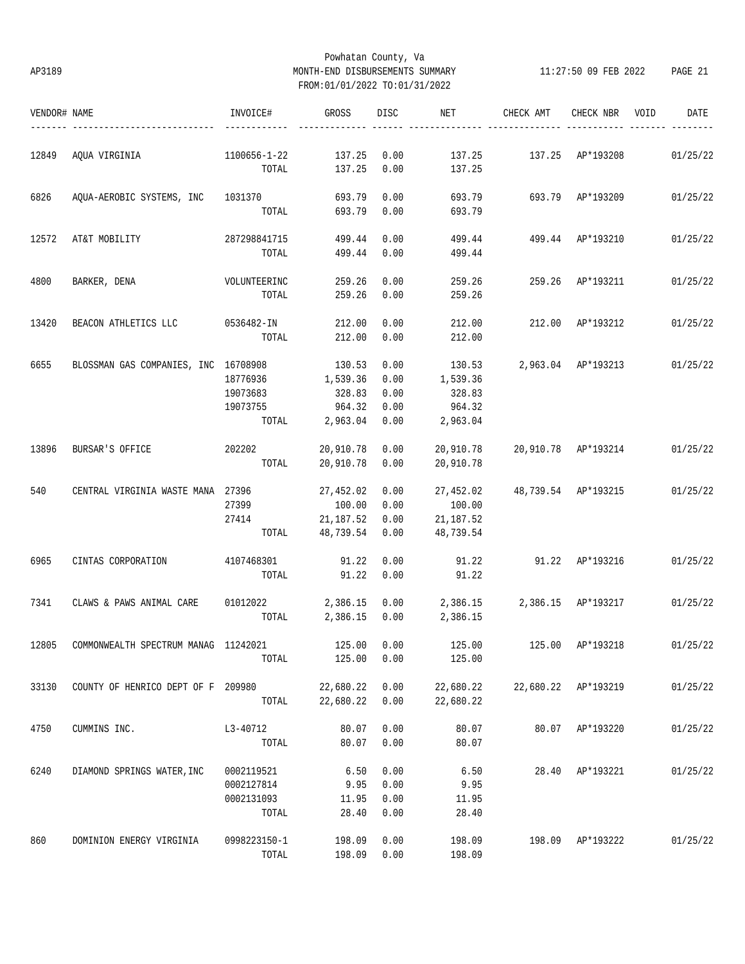# Powhatan County, Va AP3189 MONTH-END DISBURSEMENTS SUMMARY 11:27:50 09 FEB 2022 PAGE 21 FROM:01/01/2022 TO:01/31/2022

| VENDOR# NAME |                                             | INVOICE#     | GROSS      | DISC | NET                         | CHECK AMT                              | CHECK NBR           | VOID | DATE     |
|--------------|---------------------------------------------|--------------|------------|------|-----------------------------|----------------------------------------|---------------------|------|----------|
| 12849        | AQUA VIRGINIA                               | 1100656-1-22 | 137.25     | 0.00 | 137.25                      |                                        | 137.25 AP*193208    |      | 01/25/22 |
|              |                                             | TOTAL        | 137.25     | 0.00 | 137.25                      |                                        |                     |      |          |
| 6826         | AQUA-AEROBIC SYSTEMS, INC 1031370           |              | 693.79     | 0.00 | 693.79                      | 693.79 AP*193209                       |                     |      | 01/25/22 |
|              |                                             | TOTAL        | 693.79     | 0.00 | 693.79                      |                                        |                     |      |          |
| 12572        | AT&T MOBILITY                               | 287298841715 | 499.44     | 0.00 | 499.44                      | 499.44 AP*193210                       |                     |      | 01/25/22 |
|              |                                             | TOTAL        | 499.44     | 0.00 | 499.44                      |                                        |                     |      |          |
| 4800         | BARKER, DENA                                | VOLUNTEERINC | 259.26     | 0.00 | 259.26                      | 259.26                                 | AP*193211           |      | 01/25/22 |
|              |                                             | TOTAL        | 259.26     | 0.00 | 259.26                      |                                        |                     |      |          |
| 13420        | BEACON ATHLETICS LLC 0536482-IN             |              | 212.00     | 0.00 | 212.00                      | 212.00                                 | AP*193212           |      | 01/25/22 |
|              |                                             | TOTAL        | 212.00     | 0.00 | 212.00                      |                                        |                     |      |          |
| 6655         | BLOSSMAN GAS COMPANIES, INC 16708908        |              | 130.53     | 0.00 | 130.53                      |                                        | 2,963.04 AP*193213  |      | 01/25/22 |
|              |                                             | 18776936     | 1,539.36   | 0.00 | 1,539.36                    |                                        |                     |      |          |
|              |                                             | 19073683     | 328.83     | 0.00 | 328.83                      |                                        |                     |      |          |
|              |                                             | 19073755     | 964.32     | 0.00 | 964.32                      |                                        |                     |      |          |
|              |                                             | TOTAL        | 2,963.04   | 0.00 | 2,963.04                    |                                        |                     |      |          |
| 13896        | BURSAR'S OFFICE                             | 202202       | 20,910.78  | 0.00 | 20,910.78                   | 20,910.78 AP*193214                    |                     |      | 01/25/22 |
|              |                                             | TOTAL        | 20,910.78  | 0.00 | 20,910.78                   |                                        |                     |      |          |
| 540          | CENTRAL VIRGINIA WASTE MANA 27396           |              | 27,452.02  | 0.00 | 27,452.02                   | 48,739.54 AP*193215                    |                     |      | 01/25/22 |
|              |                                             | 27399        | 100.00     | 0.00 | 100.00                      |                                        |                     |      |          |
|              |                                             | 27414        | 21, 187.52 | 0.00 | 21,187.52                   |                                        |                     |      |          |
|              |                                             | TOTAL        | 48,739.54  | 0.00 | 48,739.54                   |                                        |                     |      |          |
| 6965         | CINTAS CORPORATION                          | 4107468301   | 91.22      | 0.00 | 91.22                       | 91.22 AP*193216                        |                     |      | 01/25/22 |
|              |                                             | TOTAL        | 91.22      | 0.00 | 91.22                       |                                        |                     |      |          |
| 7341         | CLAWS & PAWS ANIMAL CARE                    | 01012022     | 2,386.15   | 0.00 | 2,386.15 2,386.15 AP*193217 |                                        |                     |      | 01/25/22 |
|              |                                             | TOTAL        | 2,386.15   | 0.00 | 2,386.15                    |                                        |                     |      |          |
| 12805        | COMMONWEALTH SPECTRUM MANAG 11242021 125.00 |              |            | 0.00 |                             | 125.00   125.00   AP*193218   01/25/22 |                     |      |          |
|              |                                             | TOTAL        | 125.00     | 0.00 | 125.00                      |                                        |                     |      |          |
| 33130        | COUNTY OF HENRICO DEPT OF F 209980          |              | 22,680.22  | 0.00 | 22,680.22                   |                                        | 22,680.22 AP*193219 |      | 01/25/22 |
|              |                                             | TOTAL        | 22,680.22  | 0.00 | 22,680.22                   |                                        |                     |      |          |
| 4750         | CUMMINS INC.                                | L3-40712     | 80.07      | 0.00 | 80.07                       | 80.07                                  | AP*193220           |      | 01/25/22 |
|              |                                             | TOTAL        | 80.07      | 0.00 | 80.07                       |                                        |                     |      |          |
| 6240         | DIAMOND SPRINGS WATER, INC                  | 0002119521   | 6.50       | 0.00 | 6.50                        | 28.40                                  | AP*193221           |      | 01/25/22 |
|              |                                             | 0002127814   | 9.95       | 0.00 | 9.95                        |                                        |                     |      |          |
|              |                                             | 0002131093   | 11.95      | 0.00 | 11.95                       |                                        |                     |      |          |
|              |                                             | TOTAL        | 28.40      | 0.00 | 28.40                       |                                        |                     |      |          |
| 860          | DOMINION ENERGY VIRGINIA                    | 0998223150-1 | 198.09     | 0.00 | 198.09                      | 198.09                                 | AP*193222           |      | 01/25/22 |
|              |                                             | TOTAL        | 198.09     | 0.00 | 198.09                      |                                        |                     |      |          |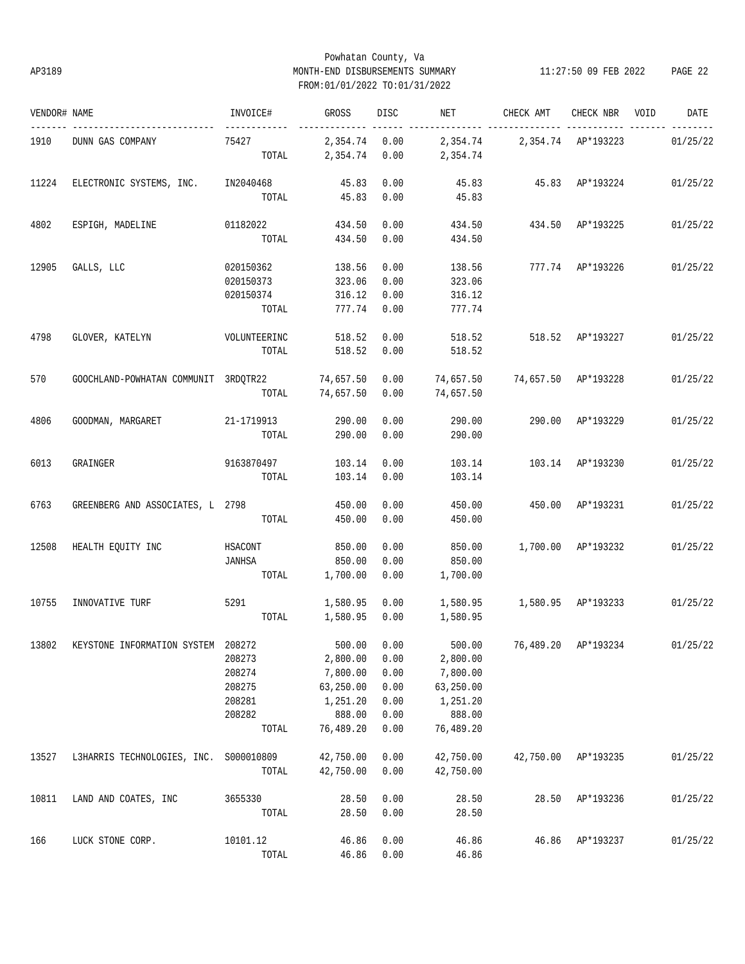# Powhatan County, Va AP3189 MONTH-END DISBURSEMENTS SUMMARY 11:27:50 09 FEB 2022 PAGE 22 FROM:01/01/2022 TO:01/31/2022

| VENDOR# NAME |                                                                                          | INVOICE#                       | GROSS                          | DISC | NET                                     | CHECK AMT                       | CHECK NBR VOID   | DATE     |
|--------------|------------------------------------------------------------------------------------------|--------------------------------|--------------------------------|------|-----------------------------------------|---------------------------------|------------------|----------|
| 1910         | DUNN GAS COMPANY                                                                         | ------------<br>75427<br>TOTAL | 2,354.74 0.00<br>2,354.74 0.00 |      | 2,354.74 2,354.74 AP*193223<br>2,354.74 |                                 |                  | 01/25/22 |
| 11224        | ELECTRONIC SYSTEMS, INC.                                                                 | IN2040468                      | 45.83                          | 0.00 |                                         | 45.83 45.83 AP*193224           |                  | 01/25/22 |
|              |                                                                                          |                                | TOTAL 45.83                    | 0.00 | 45.83                                   |                                 |                  |          |
| 4802         | ESPIGH, MADELINE                                                                         | 01182022                       | 434.50                         | 0.00 | 434.50                                  | 434.50 AP*193225                |                  | 01/25/22 |
|              |                                                                                          | TOTAL                          | 434.50                         | 0.00 | 434.50                                  |                                 |                  |          |
| 12905        | GALLS, LLC                                                                               | 020150362                      | 138.56                         | 0.00 | 138.56                                  | 777.74 AP*193226                |                  | 01/25/22 |
|              |                                                                                          | 020150373                      | 323.06                         | 0.00 | 323.06                                  |                                 |                  |          |
|              |                                                                                          | 020150374                      | 316.12                         | 0.00 | 316.12                                  |                                 |                  |          |
|              |                                                                                          | TOTAL                          | 777.74 0.00                    |      | 777.74                                  |                                 |                  |          |
| 4798         | GLOVER, KATELYN                                                                          | VOLUNTEERINC                   | 518.52                         | 0.00 | 518.52                                  | 518.52 AP*193227                |                  | 01/25/22 |
|              |                                                                                          | TOTAL                          | 518.52                         | 0.00 | 518.52                                  |                                 |                  |          |
| 570          | GOOCHLAND-POWHATAN COMMUNIT 3RDQTR22 74,657.50                                           |                                |                                | 0.00 |                                         | 74,657.50 74,657.50 AP*193228   |                  | 01/25/22 |
|              |                                                                                          | TOTAL                          | 74,657.50                      | 0.00 | 74,657.50                               |                                 |                  |          |
| 4806         | GOODMAN, MARGARET                                                                        | 21-1719913                     | 290.00                         | 0.00 | 290.00                                  |                                 | 290.00 AP*193229 | 01/25/22 |
|              |                                                                                          | TOTAL                          | 290.00                         | 0.00 | 290.00                                  |                                 |                  |          |
| 6013         | GRAINGER                                                                                 | 9163870497                     | 103.14                         | 0.00 | 103.14                                  | 103.14 AP*193230                |                  | 01/25/22 |
|              |                                                                                          | TOTAL                          | 103.14                         | 0.00 | 103.14                                  |                                 |                  |          |
| 6763         | GREENBERG AND ASSOCIATES, L 2798                                                         |                                | 450.00                         | 0.00 | 450.00                                  | 450.00 AP*193231                |                  | 01/25/22 |
|              |                                                                                          | TOTAL                          | 450.00                         | 0.00 | 450.00                                  |                                 |                  |          |
| 12508        | HEALTH EQUITY INC                                                                        | HSACONT                        | 850.00                         | 0.00 | 850.00                                  | 1,700.00 AP*193232              |                  | 01/25/22 |
|              |                                                                                          | JANHSA                         | 850.00                         | 0.00 | 850.00                                  |                                 |                  |          |
|              |                                                                                          |                                | 1,700.00                       | 0.00 |                                         |                                 |                  |          |
|              |                                                                                          | TOTAL                          |                                |      | 1,700.00                                |                                 |                  |          |
| 10755        | INNOVATIVE TURF                                                                          | 5291 722                       | 1,580.95 0.00                  |      |                                         | 1,580.95   1,580.95   AP*193233 |                  | 01/25/22 |
|              |                                                                                          | TOTAL                          | 1,580.95 0.00                  |      | 1,580.95                                |                                 |                  |          |
|              | 13802 KEYSTONE INFORMATION SYSTEM 208272 500.00 0.00 500.00 76,489.20 AP*193234 01/25/22 |                                |                                |      |                                         |                                 |                  |          |
|              |                                                                                          | 208273                         | 2,800.00                       | 0.00 | 2,800.00                                |                                 |                  |          |
|              |                                                                                          | 208274                         | 7,800.00                       | 0.00 | 7,800.00                                |                                 |                  |          |
|              |                                                                                          | 208275                         | 63,250.00                      | 0.00 | 63,250.00                               |                                 |                  |          |
|              |                                                                                          | 208281                         | 1,251.20                       | 0.00 | 1,251.20                                |                                 |                  |          |
|              |                                                                                          | 208282                         | 888.00                         | 0.00 | 888.00                                  |                                 |                  |          |
|              |                                                                                          | TOTAL                          | 76,489.20                      | 0.00 | 76,489.20                               |                                 |                  |          |
| 13527        | L3HARRIS TECHNOLOGIES, INC. S000010809                                                   |                                | 42,750.00                      | 0.00 | 42,750.00                               | 42,750.00                       | AP*193235        | 01/25/22 |
|              |                                                                                          | TOTAL                          | 42,750.00                      | 0.00 | 42,750.00                               |                                 |                  |          |
| 10811        | LAND AND COATES, INC                                                                     | 3655330                        | 28.50                          | 0.00 | 28.50                                   | 28.50                           | AP*193236        | 01/25/22 |
|              |                                                                                          | TOTAL                          | 28.50                          | 0.00 | 28.50                                   |                                 |                  |          |
| 166          | LUCK STONE CORP.                                                                         | 10101.12                       | 46.86                          | 0.00 | 46.86                                   | 46.86                           | AP*193237        | 01/25/22 |
|              |                                                                                          | TOTAL                          | 46.86                          | 0.00 | 46.86                                   |                                 |                  |          |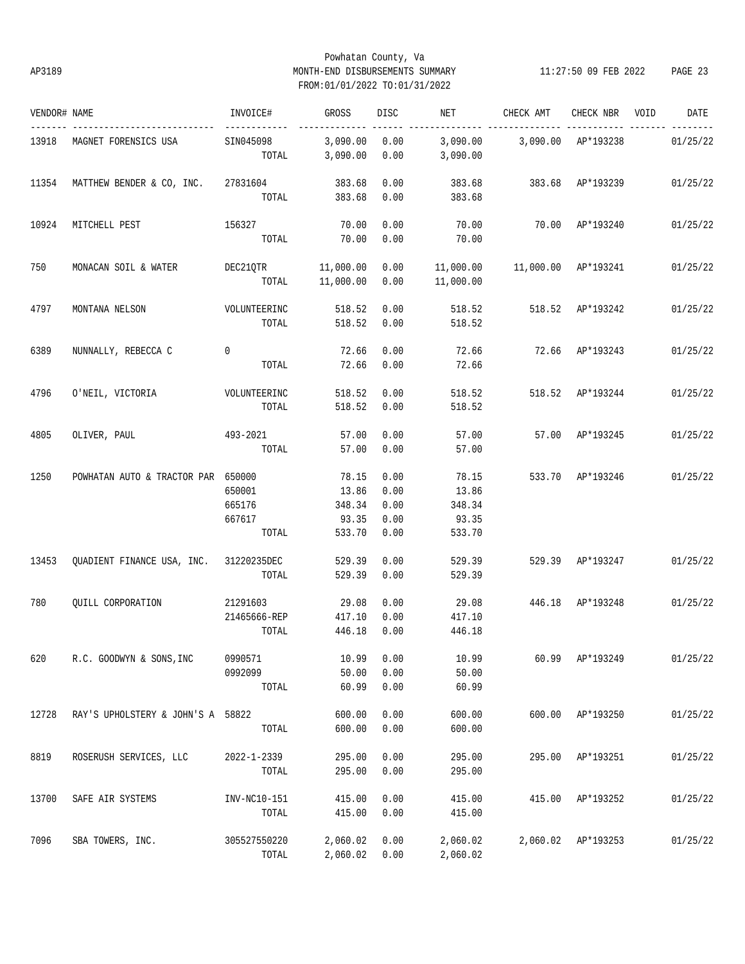# Powhatan County, Va AP3189 MONTH-END DISBURSEMENTS SUMMARY 11:27:50 09 FEB 2022 PAGE 23 FROM:01/01/2022 TO:01/31/2022

| VENDOR# NAME |                                           | INVOICE#                            | GROSS                                       | DISC                                 | NET FOR THE STATE OF THE STATE OF THE STATE OF THE STATE OF THE STATE OF THE STATE OF THE STATE OF THE STATE O | CHECK AMT        | CHECK NBR VOID     | DATE     |
|--------------|-------------------------------------------|-------------------------------------|---------------------------------------------|--------------------------------------|----------------------------------------------------------------------------------------------------------------|------------------|--------------------|----------|
|              | 13918 MAGNET FORENSICS USA                | SIN045098<br>TOTAL                  | 3,090.00 0.00<br>3,090.00                   | 0.00                                 | 3,090.00    3,090.00   AP*193238<br>3,090.00                                                                   |                  |                    | 01/25/22 |
| 11354        | MATTHEW BENDER & CO, INC. 27831604 383.68 |                                     | TOTAL 383.68                                | 0.00<br>0.00                         | 383.68<br>383.68                                                                                               | 383.68 AP*193239 |                    | 01/25/22 |
| 10924        | MITCHELL PEST                             | 156327<br>TOTAL                     | 70.00<br>70.00                              | 0.00<br>0.00                         | 70.00<br>70.00                                                                                                 | 70.00 AP*193240  |                    | 01/25/22 |
| 750          | MONACAN SOIL & WATER                      | DEC21QTR 11,000.00                  | TOTAL 11,000.00                             | 0.00<br>0.00                         | 11,000.00                                                                                                      |                  |                    | 01/25/22 |
| 4797         | MONTANA NELSON                            | VOLUNTEERINC<br>TOTAL               | 518.52<br>518.52 0.00                       | 0.00                                 | 518.52<br>518.52                                                                                               | 518.52 AP*193242 |                    | 01/25/22 |
| 6389         | NUNNALLY, REBECCA C                       | $\mathbf 0$<br>TOTAL                | 72.66<br>72.66                              | 0.00<br>0.00                         | 72.66<br>72.66                                                                                                 | 72.66 AP*193243  |                    | 01/25/22 |
| 4796         | 0'NEIL, VICTORIA VOLUNTEERINC             | TOTAL                               | 518.52<br>518.52                            | 0.00<br>0.00                         | 518.52<br>518.52                                                                                               | 518.52 AP*193244 |                    | 01/25/22 |
| 4805         | OLIVER, PAUL                              | 493-2021<br>TOTAL                   | 57.00<br>57.00                              | 0.00<br>0.00                         | 57.00<br>57.00                                                                                                 | 57.00 AP*193245  |                    | 01/25/22 |
| 1250         | POWHATAN AUTO & TRACTOR PAR 650000        | 650001<br>665176<br>667617<br>TOTAL | 78.15<br>13.86<br>348.34<br>93.35<br>533.70 | 0.00<br>0.00<br>0.00<br>0.00<br>0.00 | 78.15<br>13.86<br>348.34<br>93.35<br>533.70                                                                    | 533.70 AP*193246 |                    | 01/25/22 |
| 13453        | QUADIENT FINANCE USA, INC. 31220235DEC    | TOTAL                               | 529.39<br>529.39                            | 0.00<br>0.00                         | 529.39<br>529.39                                                                                               | 529.39 AP*193247 |                    | 01/25/22 |
| 780          | OUILL CORPORATION                         | 21291603<br>21465666-REP<br>TOTAL   | 29.08<br>417.10<br>446.18                   | 0.00<br>0.00<br>0.00                 | 29.08<br>417.10<br>446.18                                                                                      | 446.18 AP*193248 |                    | 01/25/22 |
| 620          | R.C. GOODWYN & SONS, INC                  | 0990571<br>0992099<br>TOTAL         | 10.99<br>50.00<br>60.99                     | 0.00<br>0.00<br>0.00                 | 10.99<br>50.00<br>60.99                                                                                        |                  | 60.99 AP*193249    | 01/25/22 |
| 12728        | RAY'S UPHOLSTERY & JOHN'S A 58822         | TOTAL                               | 600.00<br>600.00                            | 0.00<br>0.00                         | 600.00<br>600.00                                                                                               |                  | 600.00 AP*193250   | 01/25/22 |
| 8819         | ROSERUSH SERVICES, LLC                    | 2022-1-2339<br>TOTAL                | 295.00<br>295.00                            | 0.00<br>0.00                         | 295.00<br>295.00                                                                                               | 295.00           | AP*193251          | 01/25/22 |
| 13700        | SAFE AIR SYSTEMS                          | INV-NC10-151<br>TOTAL               | 415.00<br>415.00                            | 0.00<br>0.00                         | 415.00<br>415.00                                                                                               | 415.00           | AP*193252          | 01/25/22 |
| 7096         | SBA TOWERS, INC.                          | 305527550220<br>TOTAL               | 2,060.02<br>2,060.02 0.00                   | 0.00                                 | 2,060.02<br>2,060.02                                                                                           |                  | 2,060.02 AP*193253 | 01/25/22 |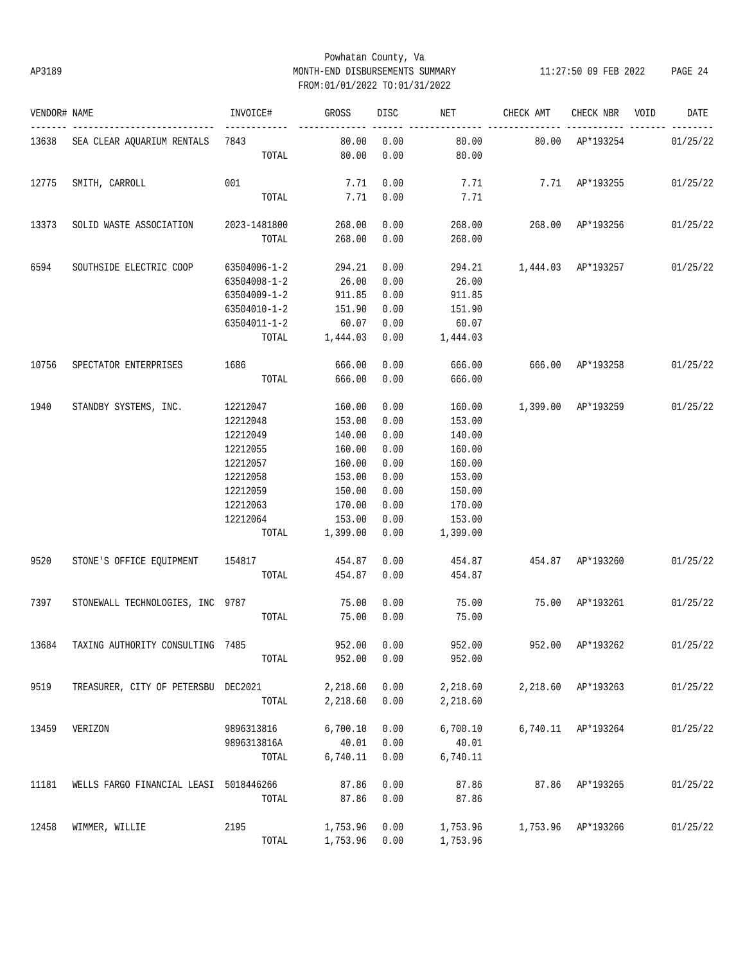# Powhatan County, Va AP3189 MONTH-END DISBURSEMENTS SUMMARY 11:27:50 09 FEB 2022 PAGE 24 FROM:01/01/2022 TO:01/31/2022

| VENDOR# NAME |                                        | INVOICE#     | GROSS          | DISC | NET      | CHECK AMT                 | CHECK NBR          | VOID | DATE     |
|--------------|----------------------------------------|--------------|----------------|------|----------|---------------------------|--------------------|------|----------|
|              | 13638 SEA CLEAR AQUARIUM RENTALS 7843  |              | 80.00          | 0.00 | 80.00    | 80.00 AP*193254           |                    |      | 01/25/22 |
|              |                                        | TOTAL        | 80.00          | 0.00 | 80.00    |                           |                    |      |          |
| 12775        | SMITH, CARROLL                         | 001          | 7.71           | 0.00 | 7.71     |                           | 7.71 AP*193255     |      | 01/25/22 |
|              |                                        | TOTAL        | 7.71           | 0.00 | 7.71     |                           |                    |      |          |
| 13373        | SOLID WASTE ASSOCIATION 2023-1481800   |              | 268.00         | 0.00 |          | 268.00 268.00 AP*193256   |                    |      | 01/25/22 |
|              |                                        | TOTAL        | 268.00         | 0.00 | 268.00   |                           |                    |      |          |
| 6594         | SOUTHSIDE ELECTRIC COOP                | 63504006-1-2 | 294.21         | 0.00 |          | 294.21 1,444.03 AP*193257 |                    |      | 01/25/22 |
|              |                                        | 63504008-1-2 | 26.00          | 0.00 | 26.00    |                           |                    |      |          |
|              |                                        | 63504009-1-2 | 911.85         | 0.00 | 911.85   |                           |                    |      |          |
|              |                                        | 63504010-1-2 | 151.90         | 0.00 | 151.90   |                           |                    |      |          |
|              |                                        | 63504011-1-2 | 60.07          | 0.00 | 60.07    |                           |                    |      |          |
|              |                                        |              | TOTAL 1,444.03 | 0.00 | 1,444.03 |                           |                    |      |          |
| 10756        | SPECTATOR ENTERPRISES                  | 1686         | 666.00         | 0.00 | 666.00   | 666.00 AP*193258          |                    |      | 01/25/22 |
|              |                                        | TOTAL        | 666.00         | 0.00 | 666.00   |                           |                    |      |          |
| 1940         | STANDBY SYSTEMS, INC.                  | 12212047     | 160.00         | 0.00 | 160.00   | 1,399.00 AP*193259        |                    |      | 01/25/22 |
|              |                                        | 12212048     | 153.00         | 0.00 | 153.00   |                           |                    |      |          |
|              |                                        | 12212049     | 140.00         | 0.00 | 140.00   |                           |                    |      |          |
|              |                                        | 12212055     | 160.00         | 0.00 | 160.00   |                           |                    |      |          |
|              |                                        | 12212057     | 160.00         | 0.00 | 160.00   |                           |                    |      |          |
|              |                                        | 12212058     | 153.00         | 0.00 | 153.00   |                           |                    |      |          |
|              |                                        | 12212059     | 150.00         | 0.00 | 150.00   |                           |                    |      |          |
|              |                                        | 12212063     | 170.00         | 0.00 | 170.00   |                           |                    |      |          |
|              |                                        | 12212064     | 153.00         | 0.00 | 153.00   |                           |                    |      |          |
|              |                                        | TOTAL        | 1,399.00       | 0.00 | 1,399.00 |                           |                    |      |          |
| 9520         | STONE'S OFFICE EQUIPMENT 154817        |              | 454.87         | 0.00 |          | 454.87 454.87 AP*193260   |                    |      | 01/25/22 |
|              |                                        | TOTAL        | 454.87         | 0.00 | 454.87   |                           |                    |      |          |
| 7397         | STONEWALL TECHNOLOGIES, INC 9787       |              | 75.00          | 0.00 | 75.00    | 75.00 AP*193261           |                    |      | 01/25/22 |
|              |                                        | TOTAL        | 75.00          | 0.00 | 75.00    |                           |                    |      |          |
| 13684        | TAXING AUTHORITY CONSULTING 7485       |              | 952.00         | 0.00 |          | 952.00 952.00 AP*193262   |                    |      | 01/25/22 |
|              |                                        | TOTAL        | 952.00         | 0.00 | 952.00   |                           |                    |      |          |
| 9519         | TREASURER, CITY OF PETERSBU DEC2021    |              | 2,218.60       | 0.00 | 2,218.60 |                           | 2,218.60 AP*193263 |      | 01/25/22 |
|              |                                        | TOTAL        | 2,218.60       | 0.00 | 2,218.60 |                           |                    |      |          |
| 13459        | VERIZON                                | 9896313816   | 6,700.10       | 0.00 | 6,700.10 |                           | 6,740.11 AP*193264 |      | 01/25/22 |
|              |                                        | 9896313816A  | 40.01          | 0.00 | 40.01    |                           |                    |      |          |
|              |                                        | TOTAL        | 6,740.11       | 0.00 | 6,740.11 |                           |                    |      |          |
| 11181        | WELLS FARGO FINANCIAL LEASI 5018446266 |              | 87.86          | 0.00 | 87.86    | 87.86                     | AP*193265          |      | 01/25/22 |
|              |                                        | TOTAL        | 87.86          | 0.00 | 87.86    |                           |                    |      |          |
| 12458        | WIMMER, WILLIE                         | 2195         | 1,753.96       | 0.00 | 1,753.96 |                           | 1,753.96 AP*193266 |      | 01/25/22 |
|              |                                        | TOTAL        | 1,753.96       | 0.00 | 1,753.96 |                           |                    |      |          |